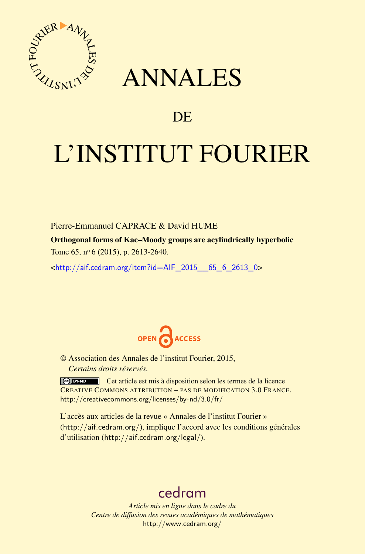

## ANNALES

### **DE**

# L'INSTITUT FOURIER

#### Pierre-Emmanuel CAPRACE & David HUME

Orthogonal forms of Kac–Moody groups are acylindrically hyperbolic Tome 65, nº 6 (2015), p. 2613-2640.

 $\kappa$ http://aif.cedram.org/item?id=AIF 2015 65 6 2613 0>



© Association des Annales de l'institut Fourier, 2015, *Certains droits réservés.*

Cet article est mis à disposition selon les termes de la licence CREATIVE COMMONS ATTRIBUTION – PAS DE MODIFICATION 3.0 FRANCE. <http://creativecommons.org/licenses/by-nd/3.0/fr/>

L'accès aux articles de la revue « Annales de l'institut Fourier » (<http://aif.cedram.org/>), implique l'accord avec les conditions générales d'utilisation (<http://aif.cedram.org/legal/>).

## [cedram](http://www.cedram.org/)

*Article mis en ligne dans le cadre du Centre de diffusion des revues académiques de mathématiques* <http://www.cedram.org/>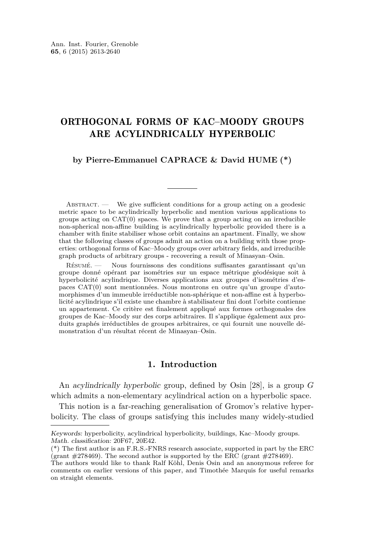#### ORTHOGONAL FORMS OF KAC–MOODY GROUPS ARE ACYLINDRICALLY HYPERBOLIC

#### **by Pierre-Emmanuel CAPRACE & David HUME (\*)**

ABSTRACT. — We give sufficient conditions for a group acting on a geodesic metric space to be acylindrically hyperbolic and mention various applications to groups acting on  $CAT(0)$  spaces. We prove that a group acting on an irreducible non-spherical non-affine building is acylindrically hyperbolic provided there is a chamber with finite stabiliser whose orbit contains an apartment. Finally, we show that the following classes of groups admit an action on a building with those properties: orthogonal forms of Kac–Moody groups over arbitrary fields, and irreducible graph products of arbitrary groups - recovering a result of Minasyan–Osin.

Résumé. — Nous fournissons des conditions suffisantes garantissant qu'un groupe donné opérant par isométries sur un espace métrique géodésique soit à hyperbolicité acylindrique. Diverses applications aux groupes d'isométries d'espaces CAT(0) sont mentionnées. Nous montrons en outre qu'un groupe d'automorphismes d'un immeuble irréductible non-sphérique et non-affine est à hyperbolicité acylindrique s'il existe une chambre à stabilisateur fini dont l'orbite contienne un appartement. Ce critère est finalement appliqué aux formes orthogonales des groupes de Kac–Moody sur des corps arbitraires. Il s'applique également aux produits graphés irréductibles de groupes arbitraires, ce qui fournit une nouvelle démonstration d'un résultat récent de Minasyan–Osin.

#### **1. Introduction**

An acylindrically hyperbolic group, defined by Osin [\[28\]](#page-27-0), is a group *G* which admits a non-elementary acylindrical action on a hyperbolic space.

This notion is a far-reaching generalisation of Gromov's relative hyperbolicity. The class of groups satisfying this includes many widely-studied

Keywords: hyperbolicity, acylindrical hyperbolicity, buildings, Kac–Moody groups. Math. classification: 20F67, 20E42.

<sup>(\*)</sup> The first author is an F.R.S.-FNRS research associate, supported in part by the ERC (grant  $\#278469$ ). The second author is supported by the ERC (grant  $\#278469$ ).

The authors would like to thank Ralf Köhl, Denis Osin and an anonymous referee for comments on earlier versions of this paper, and Timothée Marquis for useful remarks on straight elements.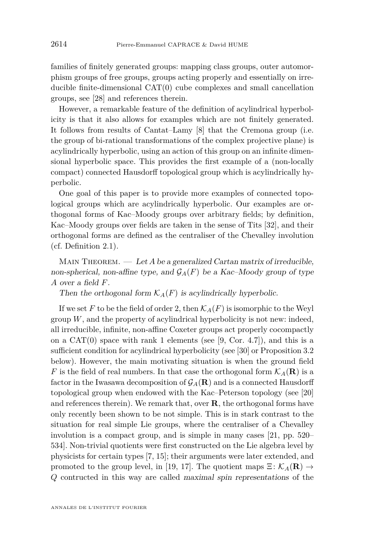families of finitely generated groups: mapping class groups, outer automorphism groups of free groups, groups acting properly and essentially on irreducible finite-dimensional CAT(0) cube complexes and small cancellation groups, see [\[28\]](#page-27-0) and references therein.

However, a remarkable feature of the definition of acylindrical hyperbolicity is that it also allows for examples which are not finitely generated. It follows from results of Cantat–Lamy [\[8\]](#page-27-0) that the Cremona group (i.e. the group of bi-rational transformations of the complex projective plane) is acylindrically hyperbolic, using an action of this group on an infinite dimensional hyperbolic space. This provides the first example of a (non-locally compact) connected Hausdorff topological group which is acylindrically hyperbolic.

One goal of this paper is to provide more examples of connected topological groups which are acylindrically hyperbolic. Our examples are orthogonal forms of Kac–Moody groups over arbitrary fields; by definition, Kac–Moody groups over fields are taken in the sense of Tits [\[32\]](#page-28-0), and their orthogonal forms are defined as the centraliser of the Chevalley involution (cf. Definition 2*.*[1\)](#page-8-0).

MAIN THEOREM.  $-$  Let *A* be a generalized Cartan matrix of irreducible, non-spherical, non-affine type, and  $\mathcal{G}_A(F)$  be a Kac–Moody group of type *A* over a field *F*.

Then the orthogonal form  $\mathcal{K}_A(F)$  is acylindrically hyperbolic.

If we set F to be the field of order 2, then  $\mathcal{K}_A(F)$  is isomorphic to the Weyl group  $W$ , and the property of acylindrical hyperbolicity is not new: indeed, all irreducible, infinite, non-affine Coxeter groups act properly cocompactly on a  $CAT(0)$  space with rank 1 elements (see [\[9,](#page-27-0) Cor. 4.7]), and this is a sufficient condition for acylindrical hyperbolicity (see [\[30\]](#page-28-0) or Proposition [3.2](#page-10-0) below). However, the main motivating situation is when the ground field *F* is the field of real numbers. In that case the orthogonal form  $\mathcal{K}_A(\mathbf{R})$  is a factor in the Iwasawa decomposition of  $\mathcal{G}_A(\mathbf{R})$  and is a connected Hausdorff topological group when endowed with the Kac–Peterson topology (see [\[20\]](#page-27-0) and references therein). We remark that, over **R**, the orthogonal forms have only recently been shown to be not simple. This is in stark contrast to the situation for real simple Lie groups, where the centraliser of a Chevalley involution is a compact group, and is simple in many cases [\[21,](#page-27-0) pp. 520– 534]. Non-trivial quotients were first constructed on the Lie algebra level by physicists for certain types [\[7,](#page-27-0) [15\]](#page-27-0); their arguments were later extended, and promoted to the group level, in [\[19,](#page-27-0) [17\]](#page-27-0). The quotient maps  $\Xi \colon \mathcal{K}_A(\mathbf{R}) \to$ *Q* contructed in this way are called maximal spin representations of the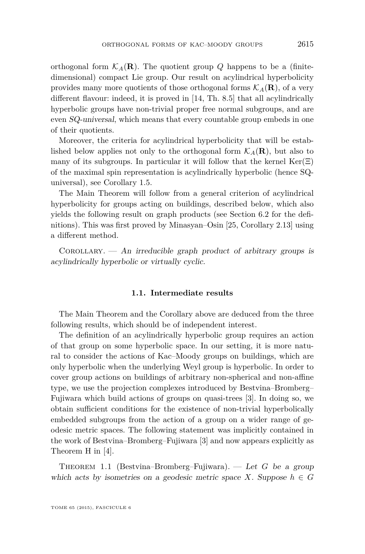<span id="page-3-0"></span>orthogonal form  $K_A(\mathbf{R})$ . The quotient group *Q* happens to be a (finitedimensional) compact Lie group. Our result on acylindrical hyperbolicity provides many more quotients of those orthogonal forms  $\mathcal{K}_A(\mathbf{R})$ , of a very different flavour: indeed, it is proved in [\[14,](#page-27-0) Th. 8.5] that all acylindrically hyperbolic groups have non-trivial proper free normal subgroups, and are even SQ-universal, which means that every countable group embeds in one of their quotients.

Moreover, the criteria for acylindrical hyperbolicity that will be established below applies not only to the orthogonal form  $\mathcal{K}_A(\mathbf{R})$ , but also to many of its subgroups. In particular it will follow that the kernel  $\text{Ker}(\Xi)$ of the maximal spin representation is acylindrically hyperbolic (hence SQuniversal), see Corollary [1.5.](#page-6-0)

The Main Theorem will follow from a general criterion of acylindrical hyperbolicity for groups acting on buildings, described below, which also yields the following result on graph products (see Section [6.2](#page-26-0) for the definitions). This was first proved by Minasyan–Osin [\[25,](#page-27-0) Corollary 2*.*13] using a different method.

 $COROLLARY.$  — An irreducible graph product of arbitrary groups is acylindrically hyperbolic or virtually cyclic.

#### **1.1. Intermediate results**

The Main Theorem and the Corollary above are deduced from the three following results, which should be of independent interest.

The definition of an acylindrically hyperbolic group requires an action of that group on some hyperbolic space. In our setting, it is more natural to consider the actions of Kac–Moody groups on buildings, which are only hyperbolic when the underlying Weyl group is hyperbolic. In order to cover group actions on buildings of arbitrary non-spherical and non-affine type, we use the projection complexes introduced by Bestvina–Bromberg– Fujiwara which build actions of groups on quasi-trees [\[3\]](#page-26-0). In doing so, we obtain sufficient conditions for the existence of non-trivial hyperbolically embedded subgroups from the action of a group on a wider range of geodesic metric spaces. The following statement was implicitly contained in the work of Bestvina–Bromberg–Fujiwara [\[3\]](#page-26-0) and now appears explicitly as Theorem H in [\[4\]](#page-26-0).

THEOREM 1.1 (Bestvina–Bromberg–Fujiwara). — Let G be a group which acts by isometries on a geodesic metric space *X*. Suppose  $h \in G$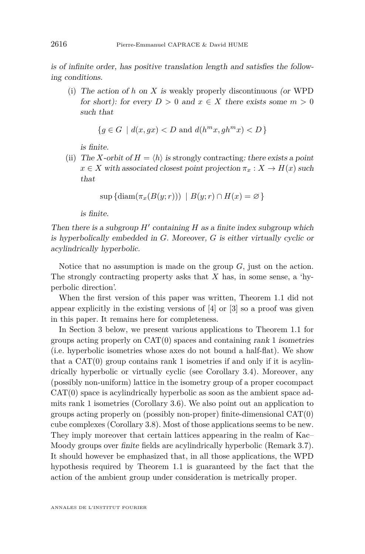is of infinite order, has positive translation length and satisfies the following conditions.

(i) The action of *h* on *X* is weakly properly discontinuous (or WPD for short): for every  $D > 0$  and  $x \in X$  there exists some  $m > 0$ such that

$$
\{g \in G \mid d(x, gx) < D \text{ and } d(h^m x, gh^m x) < D\}
$$

is finite.

(ii) The X-orbit of  $H = \langle h \rangle$  is strongly contracting: there exists a point  $x \in X$  with associated closest point projection  $\pi_x : X \to H(x)$  such that

 $\sup \{ \operatorname{diam}(\pi_x(B(y; r))) \mid B(y; r) \cap H(x) = \emptyset \}$ 

is finite.

Then there is a subgroup  $H'$  containing  $H$  as a finite index subgroup which is hyperbolically embedded in *G*. Moreover, *G* is either virtually cyclic or acylindrically hyperbolic.

Notice that no assumption is made on the group *G*, just on the action. The strongly contracting property asks that *X* has, in some sense, a 'hyperbolic direction'.

When the first version of this paper was written, Theorem [1](#page-3-0)*.*1 did not appear explicitly in the existing versions of [\[4\]](#page-26-0) or [\[3\]](#page-26-0) so a proof was given in this paper. It remains here for completeness.

In Section [3](#page-9-0) below, we present various applications to Theorem [1.1](#page-3-0) for groups acting properly on CAT(0) spaces and containing rank 1 isometries (i.e. hyperbolic isometries whose axes do not bound a half-flat). We show that a  $CAT(0)$  group contains rank 1 isometries if and only if it is acylindrically hyperbolic or virtually cyclic (see Corollary [3.4\)](#page-11-0). Moreover, any (possibly non-uniform) lattice in the isometry group of a proper cocompact CAT(0) space is acylindrically hyperbolic as soon as the ambient space admits rank 1 isometries (Corollary [3.6\)](#page-12-0). We also point out an application to groups acting properly on (possibly non-proper) finite-dimensional CAT(0) cube complexes (Corollary [3.8\)](#page-12-0). Most of those applications seems to be new. They imply moreover that certain lattices appearing in the realm of Kac– Moody groups over finite fields are acylindrically hyperbolic (Remark [3.7\)](#page-12-0). It should however be emphasized that, in all those applications, the WPD hypothesis required by Theorem [1.1](#page-3-0) is guaranteed by the fact that the action of the ambient group under consideration is metrically proper.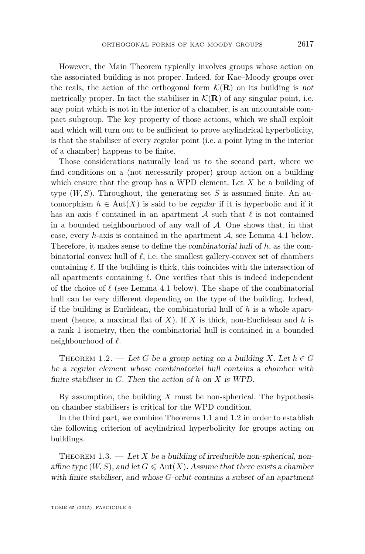<span id="page-5-0"></span>However, the Main Theorem typically involves groups whose action on the associated building is not proper. Indeed, for Kac–Moody groups over the reals, the action of the orthogonal form  $\mathcal{K}(\mathbf{R})$  on its building is not metrically proper. In fact the stabiliser in  $\mathcal{K}(\mathbf{R})$  of any singular point, i.e. any point which is not in the interior of a chamber, is an uncountable compact subgroup. The key property of those actions, which we shall exploit and which will turn out to be sufficient to prove acylindrical hyperbolicity, is that the stabiliser of every regular point (i.e. a point lying in the interior of a chamber) happens to be finite.

Those considerations naturally lead us to the second part, where we find conditions on a (not necessarily proper) group action on a building which ensure that the group has a WPD element. Let *X* be a building of type  $(W, S)$ . Throughout, the generating set *S* is assumed finite. An automorphism  $h \in Aut(X)$  is said to be *regular* if it is hyperbolic and if it has an axis  $\ell$  contained in an apartment A such that  $\ell$  is not contained in a bounded neighbourhood of any wall of  $A$ . One shows that, in that case, every  $h$ -axis is contained in the apartment  $A$ , see Lemma [4.1](#page-14-0) below. Therefore, it makes sense to define the combinatorial hull of *h*, as the combinatorial convex hull of  $\ell$ , i.e. the smallest gallery-convex set of chambers containing  $\ell$ . If the building is thick, this coincides with the intersection of all apartments containing  $\ell$ . One verifies that this is indeed independent of the choice of  $\ell$  (see Lemma [4.1](#page-14-0) below). The shape of the combinatorial hull can be very different depending on the type of the building. Indeed, if the building is Euclidean, the combinatorial hull of *h* is a whole apartment (hence, a maximal flat of *X*). If *X* is thick, non-Euclidean and *h* is a rank 1 isometry, then the combinatorial hull is contained in a bounded neighbourhood of  $\ell$ .

THEOREM 1.2. — Let G be a group acting on a building X. Let  $h \in G$ be a regular element whose combinatorial hull contains a chamber with finite stabiliser in *G*. Then the action of *h* on *X* is WPD.

By assumption, the building *X* must be non-spherical. The hypothesis on chamber stabilisers is critical for the WPD condition.

In the third part, we combine Theorems [1.1](#page-3-0) and 1.2 in order to establish the following criterion of acylindrical hyperbolicity for groups acting on buildings.

THEOREM  $1.3.$  — Let *X* be a building of irreducible non-spherical, nonaffine type  $(W, S)$ , and let  $G \leq \text{Aut}(X)$ . Assume that there exists a chamber with finite stabiliser, and whose *G*-orbit contains a subset of an apartment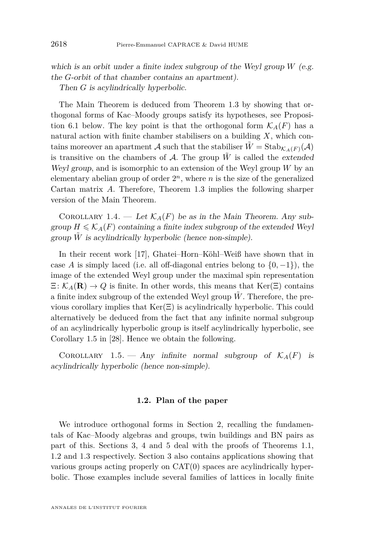<span id="page-6-0"></span>which is an orbit under a finite index subgroup of the Weyl group *W* (e.g. the *G*-orbit of that chamber contains an apartment).

Then *G* is acylindrically hyperbolic.

The Main Theorem is deduced from Theorem [1.3](#page-5-0) by showing that orthogonal forms of Kac–Moody groups satisfy its hypotheses, see Proposi-tion [6.1](#page-25-0) below. The key point is that the orthogonal form  $\mathcal{K}_A(F)$  has a natural action with finite chamber stabilisers on a building *X*, which contains moreover an apartment A such that the stabiliser  $\tilde{W} = \text{Stab}_{\mathcal{K}_A(F)}(\mathcal{A})$ is transitive on the chambers of A. The group  $\tilde{W}$  is called the extended Weyl group, and is isomorphic to an extension of the Weyl group *W* by an elementary abelian group of order  $2<sup>n</sup>$ , where  $n$  is the size of the generalized Cartan matrix *A*. Therefore, Theorem [1.3](#page-5-0) implies the following sharper version of the Main Theorem.

COROLLARY 1.4. — Let  $\mathcal{K}_A(F)$  be as in the Main Theorem. Any subgroup  $H \leq \mathcal{K}_A(F)$  containing a finite index subgroup of the extended Weyl group  $W$  is acylindrically hyperbolic (hence non-simple).

In their recent work [\[17\]](#page-27-0), Ghatei–Horn–Köhl–Weiß have shown that in case *A* is simply laced (i.e. all off-diagonal entries belong to  $\{0, -1\}$ ), the image of the extended Weyl group under the maximal spin representation  $\Xi: \mathcal{K}_A(\mathbf{R}) \to Q$  is finite. In other words, this means that Ker( $\Xi$ ) contains a finite index subgroup of the extended Weyl group  $\tilde{W}$ . Therefore, the previous corollary implies that  $\text{Ker}(\Xi)$  is acylindrically hyperbolic. This could alternatively be deduced from the fact that any infinite normal subgroup of an acylindrically hyperbolic group is itself acylindrically hyperbolic, see Corollary 1.5 in [\[28\]](#page-27-0). Hence we obtain the following.

COROLLARY 1.5. — Any infinite normal subgroup of  $\mathcal{K}_A(F)$  is acylindrically hyperbolic (hence non-simple).

#### **1.2. Plan of the paper**

We introduce orthogonal forms in Section [2,](#page-7-0) recalling the fundamentals of Kac–Moody algebras and groups, twin buildings and BN pairs as part of this. Sections [3,](#page-9-0) [4](#page-13-0) and [5](#page-20-0) deal with the proofs of Theorems [1.1,](#page-3-0) [1.2](#page-5-0) and [1.3](#page-5-0) respectively. Section [3](#page-9-0) also contains applications showing that various groups acting properly on CAT(0) spaces are acylindrically hyperbolic. Those examples include several families of lattices in locally finite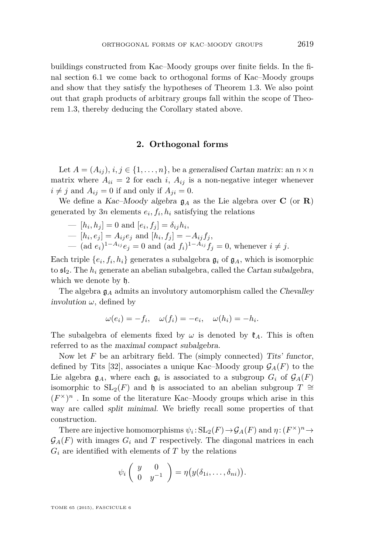<span id="page-7-0"></span>buildings constructed from Kac–Moody groups over finite fields. In the final section [6.1](#page-25-0) we come back to orthogonal forms of Kac–Moody groups and show that they satisfy the hypotheses of Theorem [1.3.](#page-5-0) We also point out that graph products of arbitrary groups fall within the scope of Theorem [1.3,](#page-5-0) thereby deducing the Corollary stated above.

#### **2. Orthogonal forms**

Let  $A = (A_{ij}), i, j \in \{1, ..., n\}$ , be a generalised Cartan matrix: an  $n \times n$ matrix where  $A_{ii} = 2$  for each *i*,  $A_{ij}$  is a non-negative integer whenever  $i \neq j$  and  $A_{ij} = 0$  if and only if  $A_{ji} = 0$ .

We define a Kac–Moody algebra  $g_A$  as the Lie algebra over **C** (or **R**) generated by  $3n$  elements  $e_i, f_i, h_i$  satisfying the relations

\n- \n
$$
[h_i, h_j] = 0
$$
 and  $[e_i, f_j] = \delta_{ij} h_i$ ,\n
\n- \n $[h_i, e_j] = A_{ij} e_j$  and  $[h_i, f_j] = -A_{ij} f_j$ ,\n
\n- \n $(ad \, e_i)^{1 - A_{ij}} e_j = 0$  and  $(ad \, f_i)^{1 - A_{ij}} f_j = 0$ , whenever  $i \neq j$ .\n
\n

Each triple  $\{e_i, f_i, h_i\}$  generates a subalgebra  $\mathfrak{g}_i$  of  $\mathfrak{g}_A$ , which is isomorphic to  $\mathfrak{sl}_2$ . The  $h_i$  generate an abelian subalgebra, called the *Cartan subalgebra*, which we denote by h.

The algebra g*<sup>A</sup>* admits an involutory automorphism called the Chevalley *involution*  $\omega$ , defined by

$$
\omega(e_i) = -f_i, \quad \omega(f_i) = -e_i, \quad \omega(h_i) = -h_i.
$$

The subalgebra of elements fixed by  $\omega$  is denoted by  $\mathfrak{k}_A$ . This is often referred to as the maximal compact subalgebra.

Now let *F* be an arbitrary field. The (simply connected) Tits' functor, defined by Tits [\[32\]](#page-28-0), associates a unique Kac–Moody group  $\mathcal{G}_A(F)$  to the Lie algebra  $\mathfrak{g}_A$ , where each  $\mathfrak{g}_i$  is associated to a subgroup  $G_i$  of  $\mathcal{G}_A(F)$ isomorphic to  $SL_2(F)$  and h is associated to an abelian subgroup  $T \cong$  $(F^{\times})^n$ . In some of the literature Kac–Moody groups which arise in this way are called split minimal. We briefly recall some properties of that construction.

There are injective homomorphisms  $\psi_i : SL_2(F) \to \mathcal{G}_A(F)$  and  $\eta : (F^\times)^n \to$  $\mathcal{G}_A(F)$  with images  $G_i$  and  $T$  respectively. The diagonal matrices in each  $G_i$  are identified with elements of  $T$  by the relations

$$
\psi_i\left(\begin{array}{cc}y & 0 \\0 & y^{-1}\end{array}\right)=\eta\big(y(\delta_{1i},\ldots,\delta_{ni})\big).
$$

TOME 65 (2015), FASCICULE 6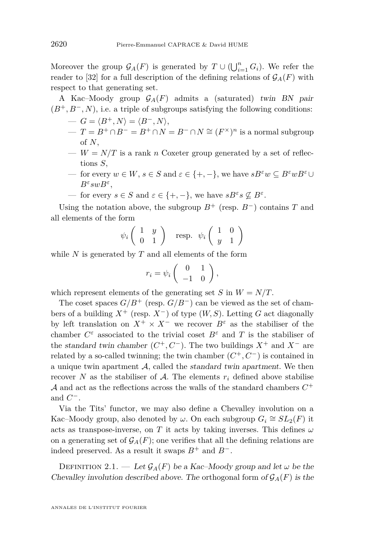<span id="page-8-0"></span>Moreover the group  $\mathcal{G}_A(F)$  is generated by  $T \cup (\bigcup_{i=1}^n G_i)$ . We refer the reader to [\[32\]](#page-28-0) for a full description of the defining relations of  $\mathcal{G}_A(F)$  with respect to that generating set.

A Kac–Moody group G*A*(*F*) admits a (saturated) twin BN pair  $(B^+, B^-, N)$ , i.e. a triple of subgroups satisfying the following conditions:

- $-G = \langle B^+, N \rangle = \langle B^-, N \rangle,$
- $-T = B^+ \cap B^- = B^+ \cap N = B^- \cap N \cong (F^\times)^n$  is a normal subgroup of *N*,
- $-W = N/T$  is a rank *n* Coxeter group generated by a set of reflections *S*,
- for every  $w \in W$ ,  $s \in S$  and  $\varepsilon \in \{+, -\}$ , we have  $sB^{\varepsilon}w \subseteq B^{\varepsilon}wB^{\varepsilon} \cup$ *B<sup>ε</sup> swB<sup>ε</sup>* ,
- $\rightarrow$  for every  $s \in S$  and  $\varepsilon \in \{+, -\}$ , we have  $sB^{\varepsilon}s \nsubseteq B^{\varepsilon}$ .

Using the notation above, the subgroup  $B^+$  (resp.  $B^-$ ) contains *T* and all elements of the form

$$
\psi_i \begin{pmatrix} 1 & y \\ 0 & 1 \end{pmatrix}
$$
 resp.  $\psi_i \begin{pmatrix} 1 & 0 \\ y & 1 \end{pmatrix}$ 

while *N* is generated by *T* and all elements of the form

$$
r_i = \psi_i \left( \begin{array}{cc} 0 & 1 \\ -1 & 0 \end{array} \right),
$$

which represent elements of the generating set *S* in  $W = N/T$ .

The coset spaces  $G/B^+$  (resp.  $G/B^-$ ) can be viewed as the set of chambers of a building  $X^+$  (resp.  $X^-$ ) of type  $(W, S)$ . Letting *G* act diagonally by left translation on  $X^+ \times X^-$  we recover  $B^{\varepsilon}$  as the stabiliser of the chamber  $C^{\varepsilon}$  associated to the trivial coset  $B^{\varepsilon}$  and T is the stabiliser of the standard twin chamber  $(C^+, C^-)$ . The two buildings  $X^+$  and  $X^-$  are related by a so-called twinning; the twin chamber  $(C^+, C^-)$  is contained in a unique twin apartment  $A$ , called the *standard twin apartment*. We then recover N as the stabiliser of A. The elements  $r_i$  defined above stabilise  ${\mathcal A}$  and act as the reflections across the walls of the standard chambers  $C^+$ and *C* −.

Via the Tits' functor, we may also define a Chevalley involution on a Kac–Moody group, also denoted by  $\omega$ . On each subgroup  $G_i \cong SL_2(F)$  it acts as transpose-inverse, on *T* it acts by taking inverses. This defines  $\omega$ on a generating set of  $\mathcal{G}_A(F)$ ; one verifies that all the defining relations are indeed preserved. As a result it swaps  $B^+$  and  $B^-$ .

DEFINITION 2.1. — Let  $\mathcal{G}_A(F)$  be a Kac–Moody group and let  $\omega$  be the Chevalley involution described above. The orthogonal form of  $\mathcal{G}_A(F)$  is the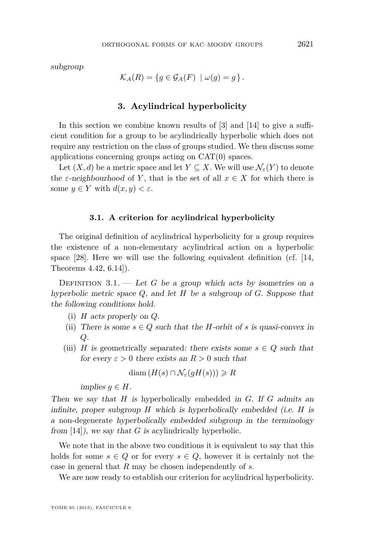<span id="page-9-0"></span>subgroup

$$
\mathcal{K}_A(R) = \{ g \in \mathcal{G}_A(F) \mid \omega(g) = g \}.
$$

#### **3. Acylindrical hyperbolicity**

In this section we combine known results of [\[3\]](#page-26-0) and [\[14\]](#page-27-0) to give a sufficient condition for a group to be acylindrically hyperbolic which does not require any restriction on the class of groups studied. We then discuss some applications concerning groups acting on CAT(0) spaces.

Let  $(X, d)$  be a metric space and let  $Y \subseteq X$ . We will use  $\mathcal{N}_{\varepsilon}(Y)$  to denote the *ε*-neighbourhood of *Y*, that is the set of all  $x \in X$  for which there is some  $y \in Y$  with  $d(x, y) < \varepsilon$ .

#### **3.1. A criterion for acylindrical hyperbolicity**

The original definition of acylindrical hyperbolicity for a group requires the existence of a non-elementary acylindrical action on a hyperbolic space [\[28\]](#page-27-0). Here we will use the following equivalent definition (cf. [\[14,](#page-27-0) Theorems 4*.*42, 6*.*14]).

DEFINITION  $3.1$ . — Let *G* be a group which acts by isometries on a hyperbolic metric space *Q*, and let *H* be a subgroup of *G*. Suppose that the following conditions hold.

- (i) *H* acts properly on *Q*.
- (ii) There is some  $s \in Q$  such that the *H*-orbit of *s* is quasi-convex in *Q*.
- (iii) *H* is geometrically separated: there exists some  $s \in Q$  such that for every  $\varepsilon > 0$  there exists an  $R > 0$  such that

$$
\text{diam}\left(H(s)\cap\mathcal{N}_{\varepsilon}(gH(s))\right)\geqslant R
$$

*implies*  $q ∈ H$ .

Then we say that *H* is hyperbolically embedded in *G*. If *G* admits an infinite, proper subgroup *H* which is hyperbolically embedded (i.e. *H* is a non-degenerate hyperbolically embedded subgroup in the terminology from [\[14\]](#page-27-0)), we say that *G* is acylindrically hyperbolic.

We note that in the above two conditions it is equivalent to say that this holds for some  $s \in Q$  or for every  $s \in Q$ , however it is certainly not the case in general that *R* may be chosen independently of *s*.

We are now ready to establish our criterion for acylindrical hyperbolicity.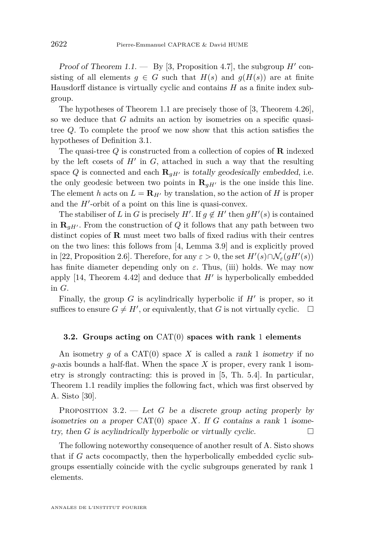<span id="page-10-0"></span>Proof of Theorem [1.1.](#page-3-0)  $-$  By [\[3,](#page-26-0) Proposition 4.7], the subgroup  $H'$  consisting of all elements  $g \in G$  such that  $H(s)$  and  $g(H(s))$  are at finite Hausdorff distance is virtually cyclic and contains *H* as a finite index subgroup.

The hypotheses of Theorem [1.1](#page-3-0) are precisely those of [\[3,](#page-26-0) Theorem 4*.*26], so we deduce that *G* admits an action by isometries on a specific quasitree *Q*. To complete the proof we now show that this action satisfies the hypotheses of Definition [3.1.](#page-9-0)

The quasi-tree *Q* is constructed from a collection of copies of **R** indexed by the left cosets of  $H'$  in  $G$ , attached in such a way that the resulting space Q is connected and each  $\mathbf{R}_{gH}$  is totally geodesically embedded, i.e. the only geodesic between two points in  $\mathbf{R}_{gH}$  is the one inside this line. The element *h* acts on  $L = \mathbf{R}_{H}$  by translation, so the action of *H* is proper and the  $H'$ -orbit of a point on this line is quasi-convex.

The stabiliser of *L* in *G* is precisely *H'*. If  $g \notin H'$  then  $gH'(s)$  is contained in  $\mathbf{R}_{qH}$ . From the construction of *Q* it follows that any path between two distinct copies of **R** must meet two balls of fixed radius with their centres on the two lines: this follows from [\[4,](#page-26-0) Lemma 3.9] and is explicitly proved in [\[22,](#page-27-0) Proposition 2.6]. Therefore, for any  $\varepsilon > 0$ , the set  $H'(s) \cap \mathcal{N}_{\varepsilon}(gH'(s))$ has finite diameter depending only on  $\varepsilon$ . Thus, (iii) holds. We may now apply  $[14,$  Theorem  $4.42]$  and deduce that  $H'$  is hyperbolically embedded in *G*.

Finally, the group  $G$  is acylindrically hyperbolic if  $H'$  is proper, so it suffices to ensure  $G \neq H'$ , or equivalently, that *G* is not virtually cyclic.  $\Box$ 

#### **3.2. Groups acting on** CAT(0) **spaces with rank** 1 **elements**

An isometry  $g$  of a CAT(0) space  $X$  is called a rank 1 isometry if no *g*-axis bounds a half-flat. When the space *X* is proper, every rank 1 isometry is strongly contracting: this is proved in [\[5,](#page-26-0) Th. 5.4]. In particular, Theorem [1.1](#page-3-0) readily implies the following fact, which was first observed by A. Sisto [\[30\]](#page-28-0).

PROPOSITION  $3.2$ . — Let *G* be a discrete group acting properly by isometries on a proper  $CAT(0)$  space *X*. If *G* contains a rank 1 isometry, then *G* is acylindrically hyperbolic or virtually cyclic.  $\Box$ 

The following noteworthy consequence of another result of A. Sisto shows that if *G* acts cocompactly, then the hyperbolically embedded cyclic subgroups essentially coincide with the cyclic subgroups generated by rank 1 elements.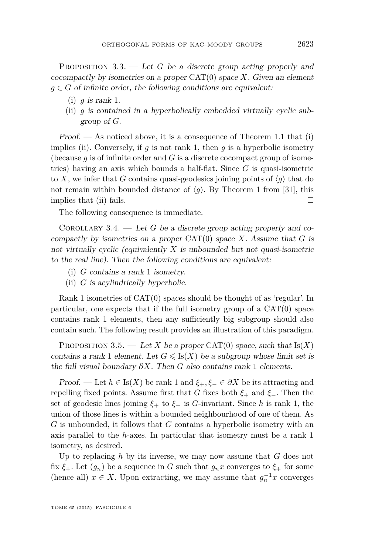<span id="page-11-0"></span>PROPOSITION 3.3. — Let G be a discrete group acting properly and cocompactly by isometries on a proper CAT(0) space *X*. Given an element  $g \in G$  of infinite order, the following conditions are equivalent:

- (i) *g* is rank 1.
- (ii) *g* is contained in a hyperbolically embedded virtually cyclic subgroup of *G*.

*Proof.*  $\sim$  As noticed above, it is a consequence of Theorem [1.1](#page-3-0) that (i) implies (ii). Conversely, if  $q$  is not rank 1, then  $q$  is a hyperbolic isometry (because  $q$  is of infinite order and  $G$  is a discrete cocompact group of isometries) having an axis which bounds a half-flat. Since *G* is quasi-isometric to X, we infer that G contains quasi-geodesics joining points of  $\langle g \rangle$  that do not remain within bounded distance of  $\langle g \rangle$ . By Theorem 1 from [\[31\]](#page-28-0), this implies that (ii) fails.  $\square$ 

The following consequence is immediate.

COROLLARY 3.4.  $\qquad$  Let *G* be a discrete group acting properly and cocompactly by isometries on a proper  $CAT(0)$  space *X*. Assume that *G* is not virtually cyclic (equivalently *X* is unbounded but not quasi-isometric to the real line). Then the following conditions are equivalent:

- (i) *G* contains a rank 1 isometry.
- (ii) *G* is acylindrically hyperbolic.

Rank 1 isometries of CAT(0) spaces should be thought of as 'regular'. In particular, one expects that if the full isometry group of a CAT(0) space contains rank 1 elements, then any sufficiently big subgroup should also contain such. The following result provides an illustration of this paradigm.

PROPOSITION 3.5. — Let *X* be a proper CAT(0) space, such that  $Is(X)$ contains a rank 1 element. Let  $G \leqslant Is(X)$  be a subgroup whose limit set is the full visual boundary *∂X*. Then *G* also contains rank 1 elements.

Proof. — Let  $h \in Is(X)$  be rank 1 and  $\xi_+,\xi_-\in \partial X$  be its attracting and repelling fixed points. Assume first that *G* fixes both  $\xi_+$  and  $\xi_-$ . Then the set of geodesic lines joining *ξ*<sup>+</sup> to *ξ*<sup>−</sup> is *G*-invariant. Since *h* is rank 1, the union of those lines is within a bounded neighbourhood of one of them. As *G* is unbounded, it follows that *G* contains a hyperbolic isometry with an axis parallel to the *h*-axes. In particular that isometry must be a rank 1 isometry, as desired.

Up to replacing *h* by its inverse, we may now assume that *G* does not fix  $\xi$ <sub>+</sub>. Let  $(g_n)$  be a sequence in *G* such that  $g_n x$  converges to  $\xi$ <sub>+</sub> for some (hence all)  $x \in X$ . Upon extracting, we may assume that  $g_n^{-1}x$  converges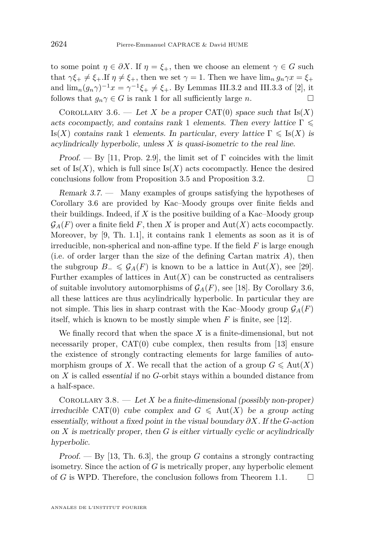<span id="page-12-0"></span>to some point  $\eta \in \partial X$ . If  $\eta = \xi_+$ , then we choose an element  $\gamma \in G$  such that  $\gamma \xi_+ \neq \xi_+$ .If  $\eta \neq \xi_+$ , then we set  $\gamma = 1$ . Then we have  $\lim_{n} g_n \gamma x = \xi_+$ and  $\lim_{n}(g_{n}\gamma)^{-1}x = \gamma^{-1}\xi_{+} \neq \xi_{+}$ . By Lemmas III.3.2 and III.3.3 of [\[2\]](#page-26-0), it follows that  $g_n \gamma \in G$  is rank 1 for all sufficiently large *n*.

COROLLARY 3.6. — Let *X* be a proper CAT(0) space such that  $Is(X)$ acts cocompactly, and contains rank 1 elements. Then every lattice  $\Gamma \leq$ Is(X) contains rank 1 elements. In particular, every lattice  $\Gamma \leqslant$  Is(X) is acylindrically hyperbolic, unless *X* is quasi-isometric to the real line.

Proof. — By [\[11,](#page-27-0) Prop. 2.9], the limit set of  $\Gamma$  coincides with the limit set of  $Is(X)$ , which is full since  $Is(X)$  acts cocompactly. Hence the desired conclusions follow from Proposition [3.5](#page-11-0) and Proposition [3.2.](#page-10-0)  $\Box$ 

Remark 3.7. — Many examples of groups satisfying the hypotheses of Corollary 3.6 are provided by Kac–Moody groups over finite fields and their buildings. Indeed, if *X* is the positive building of a Kac–Moody group  $\mathcal{G}_A(F)$  over a finite field F, then X is proper and  $\text{Aut}(X)$  acts cocompactly. Moreover, by [\[9,](#page-27-0) Th. 1.1], it contains rank 1 elements as soon as it is of irreducible, non-spherical and non-affine type. If the field *F* is large enough (i.e. of order larger than the size of the defining Cartan matrix *A*), then the subgroup  $B_-\leqslant \mathcal{G}_A(F)$  is known to be a lattice in Aut(*X*), see [\[29\]](#page-28-0). Further examples of lattices in  $\text{Aut}(X)$  can be constructed as centralisers of suitable involutory automorphisms of  $\mathcal{G}_A(F)$ , see [\[18\]](#page-27-0). By Corollary 3.6, all these lattices are thus acylindrically hyperbolic. In particular they are not simple. This lies in sharp contrast with the Kac–Moody group  $\mathcal{G}_A(F)$ itself, which is known to be mostly simple when *F* is finite, see [\[12\]](#page-27-0).

We finally record that when the space *X* is a finite-dimensional, but not necessarily proper,  $CAT(0)$  cube complex, then results from [\[13\]](#page-27-0) ensure the existence of strongly contracting elements for large families of automorphism groups of *X*. We recall that the action of a group  $G \leq \text{Aut}(X)$ on  $X$  is called *essential* if no  $G$ -orbit stays within a bounded distance from a half-space.

Corollary 3.8. — Let *X* be a finite-dimensional (possibly non-proper) irreducible CAT(0) cube complex and  $G \leq \text{Aut}(X)$  be a group acting essentially, without a fixed point in the visual boundary *∂X*. If the *G*-action on *X* is metrically proper, then *G* is either virtually cyclic or acylindrically hyperbolic.

Proof. — By [\[13,](#page-27-0) Th. 6.3], the group *G* contains a strongly contracting isometry. Since the action of *G* is metrically proper, any hyperbolic element of *G* is WPD. Therefore, the conclusion follows from Theorem [1.1.](#page-3-0)  $\Box$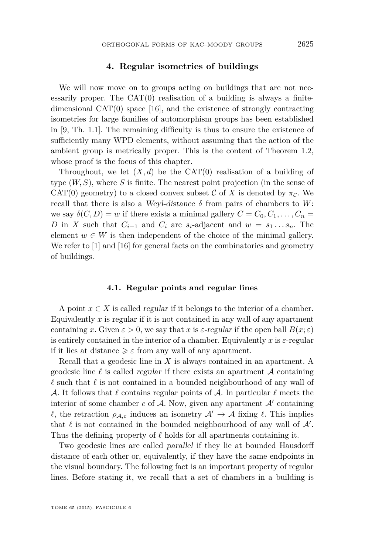#### **4. Regular isometries of buildings**

<span id="page-13-0"></span>We will now move on to groups acting on buildings that are not necessarily proper. The CAT(0) realisation of a building is always a finitedimensional  $CAT(0)$  space [\[16\]](#page-27-0), and the existence of strongly contracting isometries for large families of automorphism groups has been established in [\[9,](#page-27-0) Th. 1.1]. The remaining difficulty is thus to ensure the existence of sufficiently many WPD elements, without assuming that the action of the ambient group is metrically proper. This is the content of Theorem [1.2,](#page-5-0) whose proof is the focus of this chapter.

Throughout, we let  $(X, d)$  be the CAT(0) realisation of a building of type (*W, S*), where *S* is finite. The nearest point projection (in the sense of CAT(0) geometry) to a closed convex subset C of X is denoted by  $\pi_{\mathcal{C}}$ . We recall that there is also a Weyl-distance *δ* from pairs of chambers to *W*: we say  $\delta(C, D) = w$  if there exists a minimal gallery  $C = C_0, C_1, \ldots, C_n =$ *D* in *X* such that  $C_{i-1}$  and  $C_i$  are  $s_i$ -adjacent and  $w = s_1 \dots s_n$ . The element  $w \in W$  is then independent of the choice of the minimal gallery. We refer to [\[1\]](#page-26-0) and [\[16\]](#page-27-0) for general facts on the combinatorics and geometry of buildings.

#### **4.1. Regular points and regular lines**

A point  $x \in X$  is called *regular* if it belongs to the interior of a chamber. Equivalently  $x$  is regular if it is not contained in any wall of any apartment containing *x*. Given  $\varepsilon > 0$ , we say that *x* is  $\varepsilon$ -regular if the open ball  $B(x;\varepsilon)$ is entirely contained in the interior of a chamber. Equivalently  $x$  is  $\varepsilon$ -regular if it lies at distance  $\geq \varepsilon$  from any wall of any apartment.

Recall that a geodesic line in *X* is always contained in an apartment. A geodesic line  $\ell$  is called regular if there exists an apartment  $\mathcal A$  containing  $\ell$  such that  $\ell$  is not contained in a bounded neighbourhood of any wall of A. It follows that  $\ell$  contains regular points of A. In particular  $\ell$  meets the interior of some chamber  $c$  of  $A$ . Now, given any apartment  $A'$  containing *l*, the retraction  $\rho_{A,c}$  induces an isometry  $A' \rightarrow A$  fixing *l*. This implies that  $\ell$  is not contained in the bounded neighbourhood of any wall of  $A'$ . Thus the defining property of  $\ell$  holds for all apartments containing it.

Two geodesic lines are called parallel if they lie at bounded Hausdorff distance of each other or, equivalently, if they have the same endpoints in the visual boundary. The following fact is an important property of regular lines. Before stating it, we recall that a set of chambers in a building is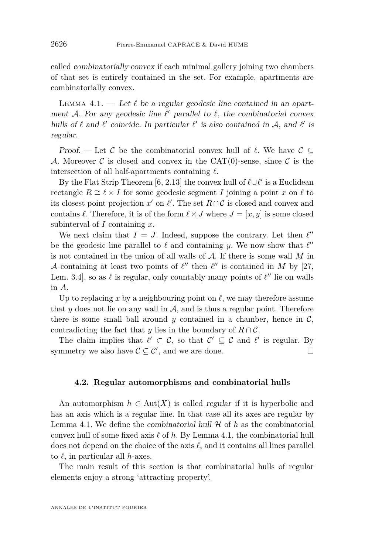called combinatorially convex if each minimal gallery joining two chambers of that set is entirely contained in the set. For example, apartments are combinatorially convex.

LEMMA  $4.1.$  — Let  $\ell$  be a regular geodesic line contained in an apartment A. For any geodesic line  $\ell'$  parallel to  $\ell$ , the combinatorial convex hulls of  $\ell$  and  $\ell'$  coincide. In particular  $\ell'$  is also contained in A, and  $\ell'$  is regular.

Proof. — Let C be the combinatorial convex hull of  $\ell$ . We have  $\mathcal{C} \subseteq$ A. Moreover C is closed and convex in the CAT(0)-sense, since C is the intersection of all half-apartments containing  $\ell$ .

By the Flat Strip Theorem [\[6,](#page-26-0) 2.13] the convex hull of  $\ell \cup \ell'$  is a Euclidean rectangle  $R \cong \ell \times I$  for some geodesic segment *I* joining a point *x* on  $\ell$  to its closest point projection  $x'$  on  $\ell'$ . The set  $R \cap C$  is closed and convex and contains  $\ell$ . Therefore, it is of the form  $\ell \times J$  where  $J = [x, y]$  is some closed subinterval of *I* containing *x*.

We next claim that  $I = J$ . Indeed, suppose the contrary. Let then  $\ell''$ be the geodesic line parallel to  $\ell$  and containing *y*. We now show that  $\ell''$ is not contained in the union of all walls of A. If there is some wall *M* in A containing at least two points of  $\ell''$  then  $\ell''$  is contained in *M* by [\[27,](#page-27-0) Lem. 3.4, so as  $\ell$  is regular, only countably many points of  $\ell''$  lie on walls in *A*.

Up to replacing x by a neighbouring point on  $\ell$ , we may therefore assume that  $y$  does not lie on any wall in  $A$ , and is thus a regular point. Therefore there is some small ball around  $y$  contained in a chamber, hence in  $C$ , contradicting the fact that *y* lies in the boundary of  $R \cap C$ .

The claim implies that  $\ell' \subset \mathcal{C}$ , so that  $\mathcal{C}' \subseteq \mathcal{C}$  and  $\ell'$  is regular. By symmetry we also have  $C \subseteq C'$ , and we are done.

#### **4.2. Regular automorphisms and combinatorial hulls**

An automorphism  $h \in Aut(X)$  is called regular if it is hyperbolic and has an axis which is a regular line. In that case all its axes are regular by Lemma 4.1. We define the *combinatorial hull*  $H$  of  $h$  as the combinatorial convex hull of some fixed axis  $\ell$  of  $h$ . By Lemma 4.1, the combinatorial hull does not depend on the choice of the axis  $\ell$ , and it contains all lines parallel to  $\ell$ , in particular all *h*-axes.

The main result of this section is that combinatorial hulls of regular elements enjoy a strong 'attracting property'.

<span id="page-14-0"></span>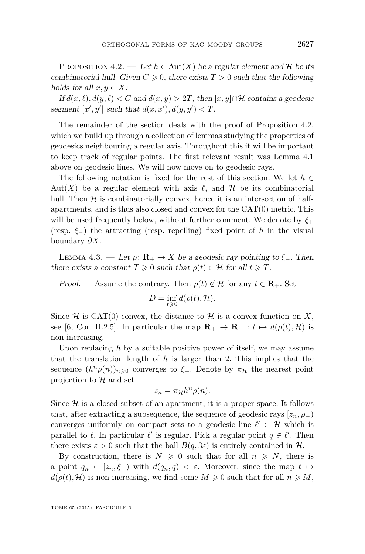<span id="page-15-0"></span>PROPOSITION 4.2. — Let  $h \in Aut(X)$  be a regular element and H be its combinatorial hull. Given  $C \geq 0$ , there exists  $T > 0$  such that the following holds for all  $x, y \in X$ :

If  $d(x, \ell), d(y, \ell) < C$  and  $d(x, y) > 2T$ , then  $[x, y] \cap \mathcal{H}$  contains a geodesic segment  $[x', y']$  such that  $d(x, x'), d(y, y') < T$ .

The remainder of the section deals with the proof of Proposition 4.2, which we build up through a collection of lemmas studying the properties of geodesics neighbouring a regular axis. Throughout this it will be important to keep track of regular points. The first relevant result was Lemma [4.1](#page-14-0) above on geodesic lines. We will now move on to geodesic rays.

The following notation is fixed for the rest of this section. We let  $h \in$ Aut $(X)$  be a regular element with axis  $\ell$ , and  $\mathcal H$  be its combinatorial hull. Then  $H$  is combinatorially convex, hence it is an intersection of halfapartments, and is thus also closed and convex for the CAT(0) metric. This will be used frequently below, without further comment. We denote by  $\xi_{+}$ (resp. *ξ*−) the attracting (resp. repelling) fixed point of *h* in the visual boundary *∂X*.

LEMMA 4.3. — Let  $\rho: \mathbf{R}_+ \to X$  be a geodesic ray pointing to  $\xi$ -. Then there exists a constant  $T \geq 0$  such that  $\rho(t) \in \mathcal{H}$  for all  $t \geq T$ .

Proof. — Assume the contrary. Then  $\rho(t) \notin \mathcal{H}$  for any  $t \in \mathbb{R}_+$ . Set

$$
D = \inf_{t \geq 0} d(\rho(t), \mathcal{H}).
$$

Since  $\mathcal H$  is CAT(0)-convex, the distance to  $\mathcal H$  is a convex function on X, see [\[6,](#page-26-0) Cor. II.2.5]. In particular the map  $\mathbf{R}_{+} \to \mathbf{R}_{+} : t \mapsto d(\rho(t), \mathcal{H})$  is non-increasing.

Upon replacing *h* by a suitable positive power of itself, we may assume that the translation length of *h* is larger than 2. This implies that the sequence  $(h^n \rho(n))_{n \geq 0}$  converges to  $\xi_+$ . Denote by  $\pi_{\mathcal{H}}$  the nearest point projection to  $\mathcal{H}$  and set

$$
z_n = \pi_{\mathcal{H}} h^n \rho(n).
$$

Since  $H$  is a closed subset of an apartment, it is a proper space. It follows that, after extracting a subsequence, the sequence of geodesic rays  $[z_n, \rho_-\rangle$ converges uniformly on compact sets to a geodesic line  $\ell' \subset \mathcal{H}$  which is parallel to  $\ell$ . In particular  $\ell'$  is regular. Pick a regular point  $q \in \ell'$ . Then there exists  $\varepsilon > 0$  such that the ball  $B(q, 3\varepsilon)$  is entirely contained in H.

By construction, there is  $N \geq 0$  such that for all  $n \geq N$ , there is a point  $q_n \in [z_n, \xi]$  with  $d(q_n, q) < \varepsilon$ . Moreover, since the map  $t \mapsto$  $d(\rho(t), \mathcal{H})$  is non-increasing, we find some  $M \geq 0$  such that for all  $n \geq M$ ,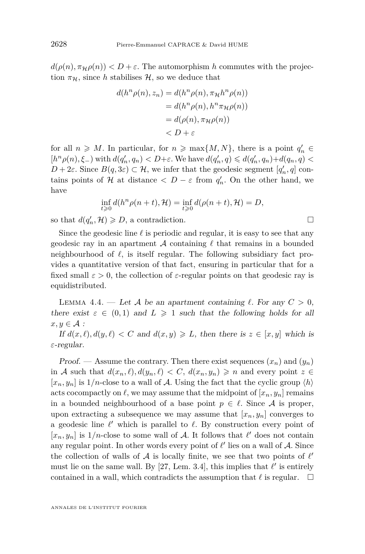<span id="page-16-0"></span> $d(\rho(n), \pi_{\mathcal{H}}\rho(n)) < D + \varepsilon$ . The automorphism *h* commutes with the projection  $\pi_{\mathcal{H}}$ , since *h* stabilises  $\mathcal{H}$ , so we deduce that

$$
d(h^n \rho(n), z_n) = d(h^n \rho(n), \pi_H h^n \rho(n))
$$
  
= 
$$
d(h^n \rho(n), h^n \pi_H \rho(n))
$$
  
= 
$$
d(\rho(n), \pi_H \rho(n))
$$
  

$$
< D + \varepsilon
$$

for all  $n \geqslant M$ . In particular, for  $n \geqslant \max\{M, N\}$ , there is a point  $q'_n \in$  $[h^n\rho(n),\xi_-)$  with  $d(q_n',q_n)< D+\varepsilon.$  We have  $d(q_n',q)\leqslant d(q_n',q_n)+d(q_n,q)<\varepsilon$  $D + 2\varepsilon$ . Since  $B(q, 3\varepsilon) \subset \mathcal{H}$ , we infer that the geodesic segment  $[q'_n, q]$  contains points of H at distance  $\langle D - \varepsilon \rangle$  from  $q'_n$ . On the other hand, we have

$$
\inf_{t\geqslant 0} d(h^n \rho(n+t), \mathcal{H}) = \inf_{t\geqslant 0} d(\rho(n+t), \mathcal{H}) = D,
$$

so that  $d(q'_n, \mathcal{H}) \geqslant D$ , a contradiction.

Since the geodesic line  $\ell$  is periodic and regular, it is easy to see that any geodesic ray in an apartment  $\mathcal A$  containing  $\ell$  that remains in a bounded neighbourhood of  $\ell$ , is itself regular. The following subsidiary fact provides a quantitative version of that fact, ensuring in particular that for a fixed small  $\varepsilon > 0$ , the collection of  $\varepsilon$ -regular points on that geodesic ray is equidistributed.

LEMMA 4.4. — Let A be an apartment containing  $\ell$ . For any  $C > 0$ , there exist  $\varepsilon \in (0,1)$  and  $L \geq 1$  such that the following holds for all  $x, y \in \mathcal{A}$ :

If  $d(x, \ell), d(y, \ell) < C$  and  $d(x, y) \ge L$ , then there is  $z \in [x, y]$  which is *ε*-regular.

Proof. — Assume the contrary. Then there exist sequences  $(x_n)$  and  $(y_n)$ in A such that  $d(x_n, \ell), d(y_n, \ell) < C$ ,  $d(x_n, y_n) \geq n$  and every point  $z \in$  $[x_n, y_n]$  is  $1/n$ -close to a wall of A. Using the fact that the cyclic group  $\langle h \rangle$ acts cocompactly on  $\ell$ , we may assume that the midpoint of  $[x_n, y_n]$  remains in a bounded neighbourhood of a base point  $p \in \ell$ . Since A is proper, upon extracting a subsequence we may assume that  $[x_n, y_n]$  converges to a geodesic line  $\ell'$  which is parallel to  $\ell$ . By construction every point of  $[x_n, y_n]$  is  $1/n$ -close to some wall of A. It follows that  $\ell'$  does not contain any regular point. In other words every point of  $\ell'$  lies on a wall of  $\mathcal A$ . Since the collection of walls of  $A$  is locally finite, we see that two points of  $\ell'$ must lie on the same wall. By  $[27, \text{ Lem. } 3.4]$  $[27, \text{ Lem. } 3.4]$ , this implies that  $\ell'$  is entirely contained in a wall, which contradicts the assumption that  $\ell$  is regular.  $\Box$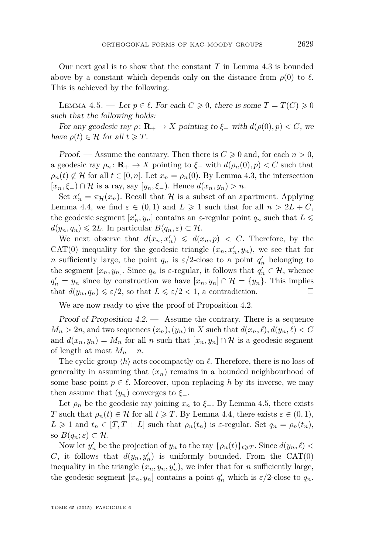Our next goal is to show that the constant *T* in Lemma [4.3](#page-15-0) is bounded above by a constant which depends only on the distance from  $\rho(0)$  to  $\ell$ . This is achieved by the following.

LEMMA 4.5. — Let  $p \in \ell$ . For each  $C \geq 0$ , there is some  $T = T(C) \geq 0$ such that the following holds:

For any geodesic ray  $\rho: \mathbf{R}_{+} \to X$  pointing to  $\xi_{-}$  with  $d(\rho(0), p) < C$ , we have  $\rho(t) \in \mathcal{H}$  for all  $t \geqslant T$ .

Proof. — Assume the contrary. Then there is  $C \geq 0$  and, for each  $n > 0$ , a geodesic ray  $\rho_n: \mathbf{R}_+ \to X$  pointing to  $\xi$  with  $d(\rho_n(0), p) < C$  such that  $\rho_n(t) \notin \mathcal{H}$  for all  $t \in [0, n]$ . Let  $x_n = \rho_n(0)$ . By Lemma [4.3,](#page-15-0) the intersection  $[x_n, \xi] \cap \mathcal{H}$  is a ray, say  $[y_n, \xi]$ . Hence  $d(x_n, y_n) > n$ .

Set  $x'_n = \pi_{\mathcal{H}}(x_n)$ . Recall that  $\mathcal{H}$  is a subset of an apartment. Applying Lemma [4.4,](#page-16-0) we find  $\varepsilon \in (0,1)$  and  $L \geqslant 1$  such that for all  $n > 2L + C$ , the geodesic segment  $[x'_n, y_n]$  contains an  $\varepsilon$ -regular point  $q_n$  such that  $L \leq$  $d(y_n, q_n) \leq 2L$ . In particular  $B(q_n, \varepsilon) \subset \mathcal{H}$ .

We next observe that  $d(x_n, x'_n) \le d(x_n, p) < C$ . Therefore, by the CAT(0) inequality for the geodesic triangle  $(x_n, x'_n, y_n)$ , we see that for *n* sufficiently large, the point  $q_n$  is  $\varepsilon/2$ -close to a point  $q'_n$  belonging to the segment  $[x_n, y_n]$ . Since  $q_n$  is  $\varepsilon$ -regular, it follows that  $q'_n \in \mathcal{H}$ , whence  $q'_n = y_n$  since by construction we have  $[x_n, y_n] \cap \mathcal{H} = \{y_n\}$ . This implies that  $d(y_n, q_n) \leq \varepsilon/2$ , so that  $L \leq \varepsilon/2 < 1$ , a contradiction.

We are now ready to give the proof of Proposition [4.2.](#page-15-0)

Proof of Proposition  $4.2.$  — Assume the contrary. There is a sequence  $M_n > 2n$ , and two sequences  $(x_n), (y_n)$  in *X* such that  $d(x_n, \ell), d(y_n, \ell) < C$ and  $d(x_n, y_n) = M_n$  for all *n* such that  $[x_n, y_n] \cap \mathcal{H}$  is a geodesic segment of length at most  $M_n - n$ .

The cyclic group  $\langle h \rangle$  acts cocompactly on  $\ell$ . Therefore, there is no loss of generality in assuming that  $(x_n)$  remains in a bounded neighbourhood of some base point  $p \in \ell$ . Moreover, upon replacing *h* by its inverse, we may then assume that  $(y_n)$  converges to  $\xi$ <sub>−</sub>.

Let  $\rho_n$  be the geodesic ray joining  $x_n$  to  $\xi$ . By Lemma 4.5, there exists *T* such that  $\rho_n(t) \in \mathcal{H}$  for all  $t \geq T$ . By Lemma [4.4,](#page-16-0) there exists  $\varepsilon \in (0,1)$ ,  $L \geq 1$  and  $t_n \in [T, T + L]$  such that  $\rho_n(t_n)$  is  $\varepsilon$ -regular. Set  $q_n = \rho_n(t_n)$ , so  $B(q_n; \varepsilon) \subset \mathcal{H}$ .

Now let  $y'_n$  be the projection of  $y_n$  to the ray  $\{\rho_n(t)\}_{t \geq T}$ . Since  $d(y_n, \ell)$ *C*, it follows that  $d(y_n, y'_n)$  is uniformly bounded. From the CAT(0) inequality in the triangle  $(x_n, y_n, y'_n)$ , we infer that for *n* sufficiently large, the geodesic segment  $[x_n, y_n]$  contains a point  $q'_n$  which is  $\varepsilon/2$ -close to  $q_n$ .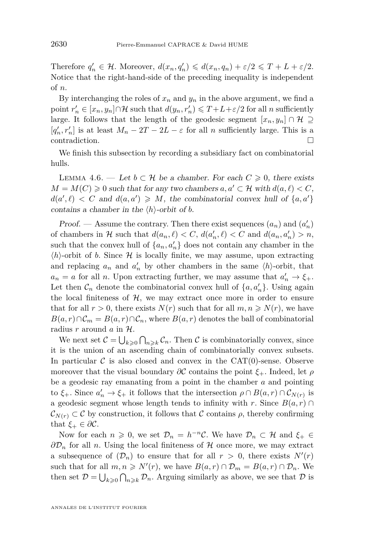<span id="page-18-0"></span>Therefore  $q'_n \in \mathcal{H}$ . Moreover,  $d(x_n, q'_n) \leq d(x_n, q_n) + \varepsilon/2 \leq T + L + \varepsilon/2$ . Notice that the right-hand-side of the preceding inequality is independent of *n*.

By interchanging the roles of  $x_n$  and  $y_n$  in the above argument, we find a  $p$  point  $r'_n \in [x_n, y_n] \cap \mathcal{H}$  such that  $d(y_n, r'_n) \leq T + L + \varepsilon/2$  for all *n* sufficiently large. It follows that the length of the geodesic segment  $[x_n, y_n] \cap \mathcal{H} \supseteq$  $[q'_n, r'_n]$  is at least  $M_n - 2T - 2L - \varepsilon$  for all *n* sufficiently large. This is a contradiction.

We finish this subsection by recording a subsidiary fact on combinatorial hulls.

LEMMA 4.6. — Let *b* ⊂ *H* be a chamber. For each  $C \ge 0$ , there exists  $M = M(C) \geq 0$  such that for any two chambers  $a, a' \subset H$  with  $d(a, \ell) < C$ ,  $d(a', \ell) < C$  and  $d(a, a') \geq M$ , the combinatorial convex hull of  $\{a, a'\}$ contains a chamber in the  $\langle h \rangle$ -orbit of *b*.

*Proof.* — Assume the contrary. Then there exist sequences  $(a_n)$  and  $(a'_n)$ of chambers in  $H$  such that  $d(a_n, \ell) < C$ ,  $d(a'_n, \ell) < C$  and  $d(a_n, a'_n) > n$ , such that the convex hull of  $\{a_n, a'_n\}$  does not contain any chamber in the  $\langle h \rangle$ -orbit of *b*. Since H is locally finite, we may assume, upon extracting and replacing  $a_n$  and  $a'_n$  by other chambers in the same  $\langle h \rangle$ -orbit, that  $a_n = a$  for all *n*. Upon extracting further, we may assume that  $a'_n \to \xi_+$ . Let then  $\mathcal{C}_n$  denote the combinatorial convex hull of  $\{a, a'_n\}$ . Using again the local finiteness of  $H$ , we may extract once more in order to ensure that for all  $r > 0$ , there exists  $N(r)$  such that for all  $m, n \geq N(r)$ , we have  $B(a,r) \cap \mathcal{C}_m = B(a,r) \cap \mathcal{C}_n$ , where  $B(a,r)$  denotes the ball of combinatorial radius *r* around *a* in H.

We next set  $C = \bigcup_{k \geq 0} \bigcap_{n \geq k} C_n$ . Then C is combinatorially convex, since it is the union of an ascending chain of combinatorially convex subsets. In particular  $\mathcal C$  is also closed and convex in the CAT(0)-sense. Observe moreover that the visual boundary  $\partial C$  contains the point  $\xi_+$ . Indeed, let  $\rho$ be a geodesic ray emanating from a point in the chamber *a* and pointing to  $\xi_+$ . Since  $a'_n \to \xi_+$  it follows that the intersection  $\rho \cap B(a,r) \cap C_{N(r)}$  is a geodesic segment whose length tends to infinity with *r*. Since  $B(a, r) \cap$  $\mathcal{C}_{N(r)} \subset \mathcal{C}$  by construction, it follows that  $\mathcal{C}$  contains  $\rho$ , thereby confirming that  $\xi_+ \in \partial \mathcal{C}$ .

Now for each  $n \geq 0$ , we set  $\mathcal{D}_n = h^{-n}\mathcal{C}$ . We have  $\mathcal{D}_n \subset \mathcal{H}$  and  $\xi_+ \in$  $\partial \mathcal{D}_n$  for all *n*. Using the local finiteness of H once more, we may extract a subsequence of  $(\mathcal{D}_n)$  to ensure that for all  $r > 0$ , there exists  $N'(r)$ such that for all  $m, n \ge N'(r)$ , we have  $B(a, r) \cap \mathcal{D}_m = B(a, r) \cap \mathcal{D}_n$ . We then set  $\mathcal{D} = \bigcup_{k \geq 0} \bigcap_{n \geq k} \mathcal{D}_n$ . Arguing similarly as above, we see that  $\mathcal{D}$  is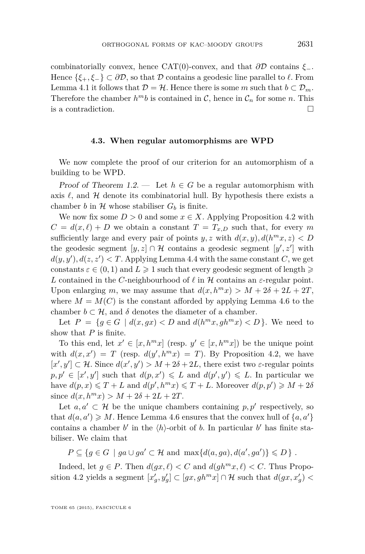combinatorially convex, hence CAT(0)-convex, and that *∂*D contains *ξ*−. Hence  $\{\xi_+,\xi_-\}\subset \partial \mathcal{D}$ , so that  $\mathcal D$  contains a geodesic line parallel to  $\ell$ . From Lemma [4.1](#page-14-0) it follows that  $\mathcal{D} = \mathcal{H}$ . Hence there is some *m* such that  $b \subset \mathcal{D}_m$ . Therefore the chamber  $h^m b$  is contained in  $\mathcal{C}$ , hence in  $\mathcal{C}_n$  for some *n*. This is a contradiction.

#### **4.3. When regular automorphisms are WPD**

We now complete the proof of our criterion for an automorphism of a building to be WPD.

Proof of Theorem [1.2.](#page-5-0) — Let  $h \in G$  be a regular automorphism with axis  $\ell$ , and  $\mathcal H$  denote its combinatorial hull. By hypothesis there exists a chamber *b* in  $H$  whose stabiliser  $G_b$  is finite.

We now fix some  $D > 0$  and some  $x \in X$ . Applying Proposition [4.2](#page-15-0) with  $C = d(x, \ell) + D$  we obtain a constant  $T = T_{x,D}$  such that, for every *m* sufficiently large and every pair of points *y*, *z* with  $d(x, y)$ ,  $d(h<sup>m</sup>x, z) < D$ the geodesic segment  $[y, z] \cap \mathcal{H}$  contains a geodesic segment  $[y', z']$  with  $d(y, y'), d(z, z') < T$ . Applying Lemma [4.4](#page-16-0) with the same constant *C*, we get constants  $\varepsilon \in (0, 1)$  and  $L \ge 1$  such that every geodesic segment of length  $\ge$ *L* contained in the *C*-neighbourhood of  $\ell$  in  $H$  contains an  $\varepsilon$ -regular point. Upon enlarging *m*, we may assume that  $d(x, h^m x) > M + 2\delta + 2L + 2T$ , where  $M = M(C)$  is the constant afforded by applying Lemma [4.6](#page-18-0) to the chamber  $b \subset \mathcal{H}$ , and  $\delta$  denotes the diameter of a chamber.

Let  $P = \{g \in G \mid d(x, gx) < D \text{ and } d(h^m x, gh^m x) < D\}$ . We need to show that *P* is finite.

To this end, let  $x' \in [x, h^m x]$  (resp.  $y' \in [x, h^m x]$ ) be the unique point with  $d(x, x') = T$  (resp.  $d(y', h^{m}x) = T$ ). By Proposition [4.2,](#page-15-0) we have  $[x', y'] \subset \mathcal{H}$ . Since  $d(x', y') > M + 2\delta + 2L$ , there exist two  $\varepsilon$ -regular points  $p, p' \in [x', y']$  such that  $d(p, x') \leq L$  and  $d(p', y') \leq L$ . In particular we have  $d(p, x) \leq T + L$  and  $d(p', h^m x) \leq T + L$ . Moreover  $d(p, p') \geq M + 2\delta$  $\text{since } d(x, h^m x) > M + 2\delta + 2L + 2T.$ 

Let  $a, a' \subset \mathcal{H}$  be the unique chambers containing  $p, p'$  respectively, so that  $d(a, a') \geq M$ . Hence Lemma [4.6](#page-18-0) ensures that the convex hull of  $\{a, a'\}$ contains a chamber *b*' in the  $\langle h \rangle$ -orbit of *b*. In particular *b*' has finite stabiliser. We claim that

 $P \subseteq \{g \in G \mid ga \cup ga' \subset \mathcal{H} \text{ and } max\{d(a, ga), d(a', ga')\} \leq D\}$ .

Indeed, let  $g \in P$ . Then  $d(gx, \ell) < C$  and  $d(gh^mx, \ell) < C$ . Thus Propo-sition [4.2](#page-15-0) yields a segment  $[x'_g, y'_g] \subset [gx, gh^mx] \cap \mathcal{H}$  such that  $d(gx, x'_g)$ 

TOME 65 (2015), FASCICULE 6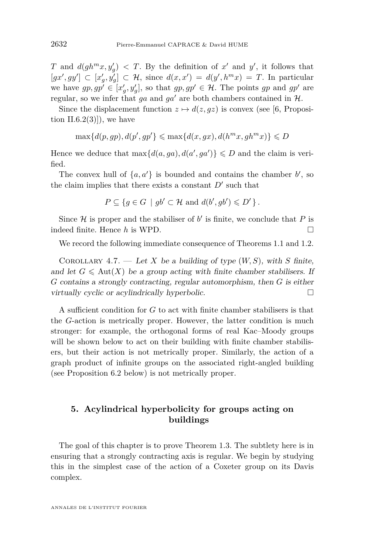<span id="page-20-0"></span>*T* and  $d(gh^{m}x, y'_{g}) < T$ . By the definition of *x*<sup>'</sup> and *y*<sup>'</sup>, it follows that  $[gx', gy'] \subset [x'_g, y'_g] \subset \mathcal{H}$ , since  $d(x, x') = d(y', h^m x) = T$ . In particular we have  $gp, gp' \in [x'_{g}, y'_{g}]$ , so that  $gp, gp' \in \mathcal{H}$ . The points  $gp$  and  $gp'$  are regular, so we infer that *ga* and *ga'* are both chambers contained in  $H$ .

Since the displacement function  $z \mapsto d(z, gz)$  is convex (see [\[6,](#page-26-0) Proposition II.6.2(3)]), we have

$$
\max\{d(p, gp), d(p', gp') \le \max\{d(x, gx), d(h^m x, gh^m x)\}\le D
$$

Hence we deduce that  $\max\{d(a, ga), d(a', ga')\} \le D$  and the claim is verified.

The convex hull of  $\{a, a'\}$  is bounded and contains the chamber *b'*, so the claim implies that there exists a constant  $D'$  such that

$$
P \subseteq \{ g \in G \mid gb' \subset \mathcal{H} \text{ and } d(b', gb') \leqslant D' \}.
$$

Since  $\mathcal H$  is proper and the stabiliser of  $b'$  is finite, we conclude that  $P$  is indeed finite. Hence *h* is WPD.

We record the following immediate consequence of Theorems [1.1](#page-3-0) and [1.2.](#page-5-0)

COROLLARY 4.7. — Let *X* be a building of type  $(W, S)$ , with *S* finite, and let  $G \leq \text{Aut}(X)$  be a group acting with finite chamber stabilisers. If *G* contains a strongly contracting, regular automorphism, then *G* is either virtually cyclic or acylindrically hyperbolic.

A sufficient condition for *G* to act with finite chamber stabilisers is that the *G*-action is metrically proper. However, the latter condition is much stronger: for example, the orthogonal forms of real Kac–Moody groups will be shown below to act on their building with finite chamber stabilisers, but their action is not metrically proper. Similarly, the action of a graph product of infinite groups on the associated right-angled building (see Proposition [6.2](#page-26-0) below) is not metrically proper.

#### **5. Acylindrical hyperbolicity for groups acting on buildings**

The goal of this chapter is to prove Theorem [1.3.](#page-5-0) The subtlety here is in ensuring that a strongly contracting axis is regular. We begin by studying this in the simplest case of the action of a Coxeter group on its Davis complex.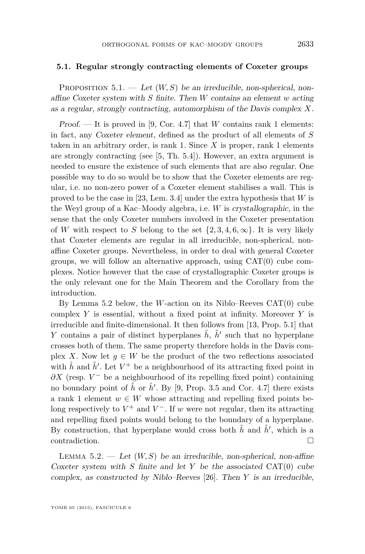#### <span id="page-21-0"></span>**5.1. Regular strongly contracting elements of Coxeter groups**

PROPOSITION  $5.1.$  — Let  $(W, S)$  be an irreducible, non-spherical, nonaffine Coxeter system with *S* finite. Then *W* contains an element *w* acting as a regular, strongly contracting, automorphism of the Davis complex *X*.

Proof. — It is proved in [\[9,](#page-27-0) Cor. 4.7] that *W* contains rank 1 elements: in fact, any Coxeter element, defined as the product of all elements of *S* taken in an arbitrary order, is rank 1. Since *X* is proper, rank 1 elements are strongly contracting (see [\[5,](#page-26-0) Th. 5.4]). However, an extra argument is needed to ensure the existence of such elements that are also regular. One possible way to do so would be to show that the Coxeter elements are regular, i.e. no non-zero power of a Coxeter element stabilises a wall. This is proved to be the case in [\[23,](#page-27-0) Lem. 3.4] under the extra hypothesis that *W* is the Weyl group of a Kac–Moody algebra, i.e. *W* is crystallographic, in the sense that the only Coxeter numbers involved in the Coxeter presentation of *W* with respect to *S* belong to the set  $\{2, 3, 4, 6, \infty\}$ . It is very likely that Coxeter elements are regular in all irreducible, non-spherical, nonaffine Coxeter groups. Nevertheless, in order to deal with general Coxeter groups, we will follow an alternative approach, using  $CAT(0)$  cube complexes. Notice however that the case of crystallographic Coxeter groups is the only relevant one for the Main Theorem and the Corollary from the introduction.

By Lemma 5.2 below, the *W*-action on its Niblo–Reeves CAT(0) cube complex *Y* is essential, without a fixed point at infinity. Moreover *Y* is irreducible and finite-dimensional. It then follows from [\[13,](#page-27-0) Prop. 5.1] that *Y* contains a pair of distinct hyperplanes  $\hat{h}$ ,  $\hat{h}'$  such that no hyperplane crosses both of them. The same property therefore holds in the Davis complex *X*. Now let  $g \in W$  be the product of the two reflections associated with  $\hat{h}$  and  $\hat{h}'$ . Let  $V^+$  be a neighbourhood of its attracting fixed point in *∂X* (resp. *V*<sup>-</sup> be a neighbourhood of its repelling fixed point) containing no boundary point of  $\hat{h}$  or  $\hat{h}'$ . By [\[9,](#page-27-0) Prop. 3.5 and Cor. 4.7] there exists a rank 1 element  $w \in W$  whose attracting and repelling fixed points belong respectively to  $V^+$  and  $V^-$ . If w were not regular, then its attracting and repelling fixed points would belong to the boundary of a hyperplane. By construction, that hyperplane would cross both  $\hat{h}$  and  $\hat{h}'$ , which is a contradiction.

LEMMA  $5.2.$  — Let  $(W, S)$  be an irreducible, non-spherical, non-affine Coxeter system with *S* finite and let *Y* be the associated CAT(0) cube complex, as constructed by Niblo–Reeves [\[26\]](#page-27-0). Then *Y* is an irreducible,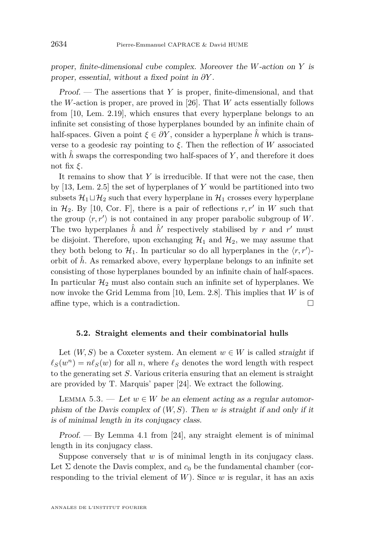<span id="page-22-0"></span>proper, finite-dimensional cube complex. Moreover the *W*-action on *Y* is proper, essential, without a fixed point in *∂Y* .

Proof. — The assertions that *Y* is proper, finite-dimensional, and that the *W*-action is proper, are proved in [\[26\]](#page-27-0). That *W* acts essentially follows from [\[10,](#page-27-0) Lem. 2.19], which ensures that every hyperplane belongs to an infinite set consisting of those hyperplanes bounded by an infinite chain of half-spaces. Given a point  $\xi \in \partial Y$ , consider a hyperplane h<sup>*i*</sup> which is transverse to a geodesic ray pointing to  $\xi$ . Then the reflection of W associated with  $\hat{h}$  swaps the corresponding two half-spaces of Y, and therefore it does not fix *ξ*.

It remains to show that *Y* is irreducible. If that were not the case, then by [\[13,](#page-27-0) Lem. 2.5] the set of hyperplanes of *Y* would be partitioned into two subsets  $\mathcal{H}_1 \sqcup \mathcal{H}_2$  such that every hyperplane in  $\mathcal{H}_1$  crosses every hyperplane in  $\mathcal{H}_2$ . By [\[10,](#page-27-0) Cor. F], there is a pair of reflections  $r, r'$  in W such that the group  $\langle r, r' \rangle$  is not contained in any proper parabolic subgroup of *W*. The two hyperplanes  $\hat{h}$  and  $\hat{h}'$  respectively stabilised by *r* and *r'* must be disjoint. Therefore, upon exchanging  $\mathcal{H}_1$  and  $\mathcal{H}_2$ , we may assume that they both belong to  $\mathcal{H}_1$ . In particular so do all hyperplanes in the  $\langle r, r' \rangle$ orbit of  $\hat{h}$ . As remarked above, every hyperplane belongs to an infinite set consisting of those hyperplanes bounded by an infinite chain of half-spaces. In particular  $\mathcal{H}_2$  must also contain such an infinite set of hyperplanes. We now invoke the Grid Lemma from [\[10,](#page-27-0) Lem. 2.8]. This implies that *W* is of affine type, which is a contradiction.  $\Box$ 

#### **5.2. Straight elements and their combinatorial hulls**

Let  $(W, S)$  be a Coxeter system. An element  $w \in W$  is called *straight* if  $\ell_S(w^n) = n\ell_S(w)$  for all *n*, where  $\ell_S$  denotes the word length with respect to the generating set *S*. Various criteria ensuring that an element is straight are provided by T. Marquis' paper [\[24\]](#page-27-0). We extract the following.

LEMMA 5.3. — Let  $w \in W$  be an element acting as a regular automorphism of the Davis complex of (*W, S*). Then *w* is straight if and only if it is of minimal length in its conjugacy class.

 $Proof. - By Lemma 4.1 from [24], any straight element is of minimal$  $Proof. - By Lemma 4.1 from [24], any straight element is of minimal$  $Proof. - By Lemma 4.1 from [24], any straight element is of minimal$ length in its conjugacy class.

Suppose conversely that *w* is of minimal length in its conjugacy class. Let  $\Sigma$  denote the Davis complex, and  $c_0$  be the fundamental chamber (corresponding to the trivial element of *W*). Since *w* is regular, it has an axis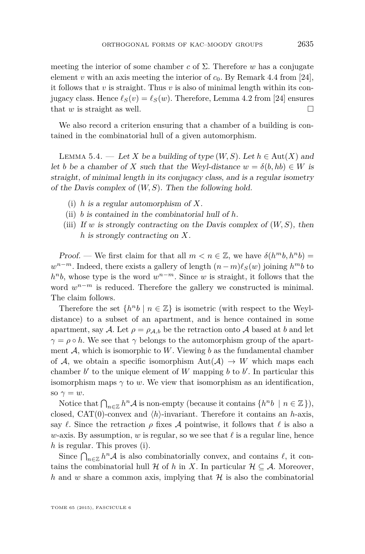<span id="page-23-0"></span>meeting the interior of some chamber *c* of  $\Sigma$ . Therefore *w* has a conjugate element *v* with an axis meeting the interior of  $c_0$ . By Remark 4.4 from [\[24\]](#page-27-0), it follows that *v* is straight. Thus *v* is also of minimal length within its conjugacy class. Hence  $\ell_S(v) = \ell_S(w)$ . Therefore, Lemma 4.2 from [\[24\]](#page-27-0) ensures that *w* is straight as well.

We also record a criterion ensuring that a chamber of a building is contained in the combinatorial hull of a given automorphism.

LEMMA 5.4. — Let *X* be a building of type  $(W, S)$ . Let  $h \in Aut(X)$  and let *b* be a chamber of *X* such that the Weyl-distance  $w = \delta(b, hb) \in W$  is straight, of minimal length in its conjugacy class, and is a regular isometry of the Davis complex of (*W, S*). Then the following hold.

- (i) *h* is a regular automorphism of *X*.
- (ii) *b* is contained in the combinatorial hull of *h*.
- (iii) If *w* is strongly contracting on the Davis complex of (*W, S*), then *h* is strongly contracting on *X*.

Proof. — We first claim for that all  $m < n \in \mathbb{Z}$ , we have  $\delta(h^m b, h^n b)$  =  $w^{n-m}$ . Indeed, there exists a gallery of length  $(n-m)\ell_S(w)$  joining  $h^m b$  to  $h<sup>n</sup>b$ , whose type is the word  $w<sup>n-m</sup>$ . Since *w* is straight, it follows that the word  $w^{n-m}$  is reduced. Therefore the gallery we constructed is minimal. The claim follows.

Therefore the set  $\{h^n b \mid n \in \mathbb{Z}\}$  is isometric (with respect to the Weyldistance) to a subset of an apartment, and is hence contained in some apartment, say A. Let  $\rho = \rho_{A,b}$  be the retraction onto A based at *b* and let  $\gamma = \rho \circ h$ . We see that  $\gamma$  belongs to the automorphism group of the apartment  $A$ , which is isomorphic to  $W$ . Viewing  $b$  as the fundamental chamber of A, we obtain a specific isomorphism  $\text{Aut}(\mathcal{A}) \to W$  which maps each chamber  $b'$  to the unique element of  $W$  mapping  $b$  to  $b'$ . In particular this isomorphism maps  $\gamma$  to *w*. We view that isomorphism as an identification, so  $\gamma = w$ .

Notice that  $\bigcap_{n\in\mathbb{Z}}h^n\mathcal{A}$  is non-empty (because it contains  $\{h^nb \mid n\in\mathbb{Z}\}\big)$ , closed, CAT(0)-convex and  $\langle h \rangle$ -invariant. Therefore it contains an *h*-axis, say  $\ell$ . Since the retraction  $\rho$  fixes  $\mathcal A$  pointwise, it follows that  $\ell$  is also a *w*-axis. By assumption, *w* is regular, so we see that  $\ell$  is a regular line, hence *h* is regular. This proves (i).

Since  $\bigcap_{n\in\mathbb{Z}}h^n\mathcal{A}$  is also combinatorially convex, and contains  $\ell$ , it contains the combinatorial hull H of h in X. In particular  $\mathcal{H} \subseteq \mathcal{A}$ . Moreover, *h* and *w* share a common axis, implying that  $H$  is also the combinatorial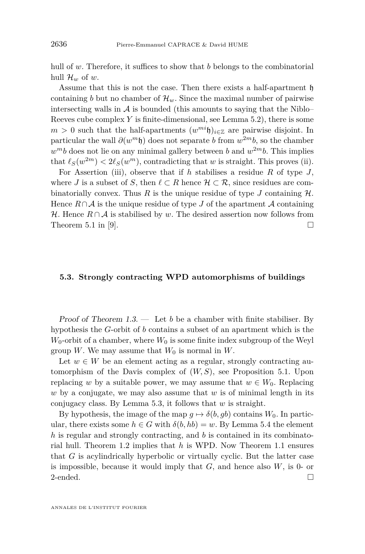hull of *w*. Therefore, it suffices to show that *b* belongs to the combinatorial hull  $\mathcal{H}_w$  of w.

Assume that this is not the case. Then there exists a half-apartment h containing *b* but no chamber of  $\mathcal{H}_w$ . Since the maximal number of pairwise intersecting walls in  $\mathcal A$  is bounded (this amounts to saying that the Niblo– Reeves cube complex *Y* is finite-dimensional, see Lemma [5.2\)](#page-21-0), there is some  $m > 0$  such that the half-apartments  $(w^{mi} \mathfrak{h})_{i \in \mathbb{Z}}$  are pairwise disjoint. In particular the wall  $\partial(w^m \mathfrak{h})$  does not separate *b* from  $w^{2m}$ *b*, so the chamber  $w^m b$  does not lie on any minimal gallery between *b* and  $w^{2m} b$ . This implies that  $\ell_S(w^{2m}) < 2\ell_S(w^m)$ , contradicting that *w* is straight. This proves (ii).

For Assertion (iii), observe that if *h* stabilises a residue *R* of type *J*, where *J* is a subset of *S*, then  $\ell \subset R$  hence  $\mathcal{H} \subset \mathcal{R}$ , since residues are combinatorially convex. Thus  $R$  is the unique residue of type  $J$  containing  $H$ . Hence  $R \cap A$  is the unique residue of type *J* of the apartment A containing H. Hence  $R \cap A$  is stabilised by *w*. The desired assertion now follows from Theorem 5.1 in [\[9\]](#page-27-0).  $\Box$ 

#### **5.3. Strongly contracting WPD automorphisms of buildings**

Proof of Theorem [1.3.](#page-5-0) — Let *b* be a chamber with finite stabiliser. By hypothesis the *G*-orbit of *b* contains a subset of an apartment which is the  $W_0$ -orbit of a chamber, where  $W_0$  is some finite index subgroup of the Weyl group *W*. We may assume that  $W_0$  is normal in *W*.

Let  $w \in W$  be an element acting as a regular, strongly contracting automorphism of the Davis complex of (*W, S*), see Proposition [5.1.](#page-21-0) Upon replacing *w* by a suitable power, we may assume that  $w \in W_0$ . Replacing *w* by a conjugate, we may also assume that *w* is of minimal length in its conjugacy class. By Lemma [5.3,](#page-22-0) it follows that *w* is straight.

By hypothesis, the image of the map  $g \mapsto \delta(b, gb)$  contains  $W_0$ . In particular, there exists some  $h \in G$  with  $\delta(b, hb) = w$ . By Lemma [5.4](#page-23-0) the element *h* is regular and strongly contracting, and *b* is contained in its combinatorial hull. Theorem [1.2](#page-5-0) implies that *h* is WPD. Now Theorem [1.1](#page-3-0) ensures that *G* is acylindrically hyperbolic or virtually cyclic. But the latter case is impossible, because it would imply that *G*, and hence also *W*, is 0- or 2-ended.  $\Box$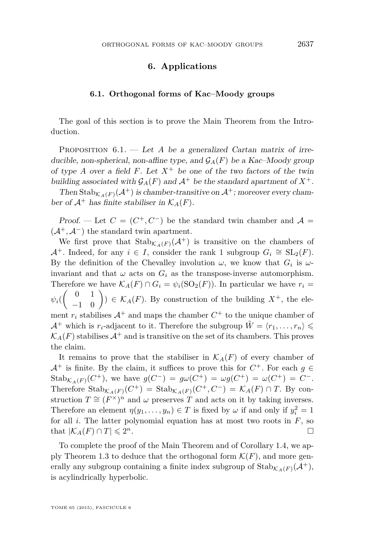#### **6. Applications**

#### <span id="page-25-0"></span>**6.1. Orthogonal forms of Kac–Moody groups**

The goal of this section is to prove the Main Theorem from the Introduction.

PROPOSITION 6.1. — Let *A* be a generalized Cartan matrix of irreducible, non-spherical, non-affine type, and  $\mathcal{G}_A(F)$  be a Kac–Moody group of type *A* over a field *F*. Let  $X^+$  be one of the two factors of the twin building associated with  $\mathcal{G}_A(F)$  and  $\mathcal{A}^+$  be the standard apartment of  $X^+$ .

Then Stab<sub>K<sub>A</sub>(*F*)</sub>( $\mathcal{A}^+$ ) is chamber-transitive on  $\mathcal{A}^+$ ; moreover every chamber of  $\mathcal{A}^+$  has finite stabiliser in  $\mathcal{K}_A(F)$ .

Proof. — Let  $C = (C^+, C^-)$  be the standard twin chamber and  $\mathcal{A} =$  $(\mathcal{A}^+, \mathcal{A}^-)$  the standard twin apartment.

We first prove that  $\text{Stab}_{\mathcal{K}_A(F)}(\mathcal{A}^+)$  is transitive on the chambers of  $\mathcal{A}^+$ . Indeed, for any  $i \in I$ , consider the rank 1 subgroup  $G_i \cong SL_2(F)$ . By the definition of the Chevalley involution  $\omega$ , we know that  $G_i$  is  $\omega$ invariant and that  $\omega$  acts on  $G_i$  as the transpose-inverse automorphism. Therefore we have  $\mathcal{K}_A(F) \cap G_i = \psi_i(SO_2(F))$ . In particular we have  $r_i =$  $\psi_i(\begin{pmatrix} 0 & 1 \\ -1 & 0 \end{pmatrix}) \in \mathcal{K}_A(F)$ . By construction of the building  $X^+$ , the element  $r_i$  stabilises  $A^+$  and maps the chamber  $C^+$  to the unique chamber of  $\mathcal{A}^+$  which is  $r_i$ -adjacent to it. Therefore the subgroup  $\tilde{W} = \langle r_1, \ldots, r_n \rangle \leq$  $\mathcal{K}_A(F)$  stabilises  $\mathcal{A}^+$  and is transitive on the set of its chambers. This proves the claim.

It remains to prove that the stabiliser in  $\mathcal{K}_A(F)$  of every chamber of  $\mathcal{A}^+$  is finite. By the claim, it suffices to prove this for  $C^+$ . For each  $g \in$ Stab<sub>K<sub>A</sub>(F)</sub>(C<sup>+</sup>), we have  $g(C^-) = g\omega(C^+) = \omega g(C^+) = \omega(C^+) = C^-$ . Therefore  $\text{Stab}_{\mathcal{K}_A(F)}(C^+) = \text{Stab}_{\mathcal{K}_A(F)}(C^+, C^-) = \mathcal{K}_A(F) \cap T$ . By construction  $T \cong (F^{\times})^n$  and  $\omega$  preserves *T* and acts on it by taking inverses. Therefore an element  $\eta(y_1, \ldots, y_n) \in T$  is fixed by  $\omega$  if and only if  $y_i^2 = 1$ for all  $i$ . The latter polynomial equation has at most two roots in  $F$ , so that  $|\mathcal{K}_A(F) \cap T| \leqslant 2^n$ . *<sup>n</sup>*.

To complete the proof of the Main Theorem and of Corollary [1.4,](#page-6-0) we ap-ply Theorem [1.3](#page-5-0) to deduce that the orthogonal form  $\mathcal{K}(F)$ , and more generally any subgroup containing a finite index subgroup of  $\text{Stab}_{\mathcal{K}_A(F)}(\mathcal{A}^+),$ is acylindrically hyperbolic.

TOME 65 (2015), FASCICULE 6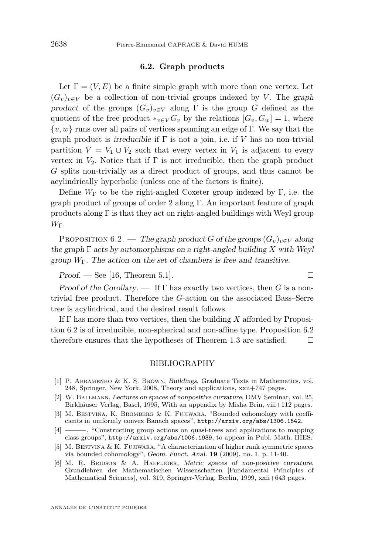#### **6.2. Graph products**

<span id="page-26-0"></span>Let  $\Gamma = (V, E)$  be a finite simple graph with more than one vertex. Let  $(G_v)_{v \in V}$  be a collection of non-trivial groups indexed by *V*. The graph product of the groups  $(G_v)_{v \in V}$  along  $\Gamma$  is the group *G* defined as the quotient of the free product  $*_{v \in V} G_v$  by the relations  $[G_v, G_w] = 1$ , where {*v, w*} runs over all pairs of vertices spanning an edge of Γ. We say that the graph product is irreducible if Γ is not a join, i.e. if *V* has no non-trivial partition  $V = V_1 \cup V_2$  such that every vertex in  $V_1$  is adjacent to every vertex in  $V_2$ . Notice that if  $\Gamma$  is not irreducible, then the graph product *G* splits non-trivially as a direct product of groups, and thus cannot be acylindrically hyperbolic (unless one of the factors is finite).

Define  $W_{\Gamma}$  to be the right-angled Coxeter group indexed by  $\Gamma$ , i.e. the graph product of groups of order 2 along Γ. An important feature of graph products along  $\Gamma$  is that they act on right-angled buildings with Weyl group *W*Γ.

PROPOSITION 6.2. — The graph product *G* of the groups  $(G_v)_{v \in V}$  along the graph Γ acts by automorphisms on a right-angled building *X* with Weyl group  $W_{\Gamma}$ . The action on the set of chambers is free and transitive.

 $Proof.$  — See [\[16,](#page-27-0) Theorem 5.1].

Proof of the Corollary. — If Γ has exactly two vertices, then *G* is a nontrivial free product. Therefore the *G*-action on the associated Bass–Serre tree is acylindrical, and the desired result follows.

If Γ has more than two vertices, then the building *X* afforded by Proposition 6.2 is of irreducible, non-spherical and non-affine type. Proposition 6.2 therefore ensures that the hypotheses of Theorem [1.3](#page-5-0) are satisfied.  $\Box$ 

#### BIBLIOGRAPHY

- [1] P. Abramenko & K. S. Brown, Buildings, Graduate Texts in Mathematics, vol. 248, Springer, New York, 2008, Theory and applications, xxii+747 pages.
- [2] W. Ballmann, Lectures on spaces of nonpositive curvature, DMV Seminar, vol. 25, Birkhäuser Verlag, Basel, 1995, With an appendix by Misha Brin, viii+112 pages.
- [3] M. Bestvina, K. Bromberg & K. Fujiwara, "Bounded cohomology with coefficients in uniformly convex Banach spaces", <http://arxiv.org/abs/1306.1542>.
- [4] ——— , "Constructing group actions on quasi-trees and applications to mapping class groups", <http://arxiv.org/abs/1006.1939>, to appear in Publ. Math. IHES.
- [5] M. Bestvina & K. Fujiwara, "A characterization of higher rank symmetric spaces via bounded cohomology", Geom. Funct. Anal. **19** (2009), no. 1, p. 11-40.
- [6] M. R. BRIDSON & A. HAEFLIGER, Metric spaces of non-positive curvature, Grundlehren der Mathematischen Wissenschaften [Fundamental Principles of Mathematical Sciences], vol. 319, Springer-Verlag, Berlin, 1999, xxii+643 pages.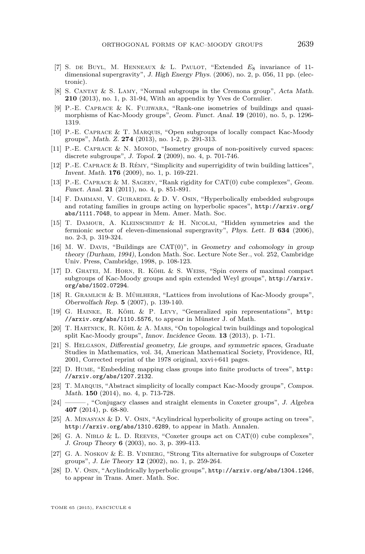- <span id="page-27-0"></span>[7] S. de Buyl, M. Henneaux & L. Paulot, "Extended *E*<sup>8</sup> invariance of 11 dimensional supergravity", J. High Energy Phys. (2006), no. 2, p. 056, 11 pp. (electronic).
- [8] S. CANTAT & S. LAMY, "Normal subgroups in the Cremona group", Acta Math. **210** (2013), no. 1, p. 31-94, With an appendix by Yves de Cornulier.
- [9] P.-E. Caprace & K. Fujiwara, "Rank-one isometries of buildings and quasimorphisms of Kac-Moody groups", Geom. Funct. Anal. **19** (2010), no. 5, p. 1296- 1319.
- [10] P.-E. Caprace & T. Marquis, "Open subgroups of locally compact Kac-Moody groups", Math. Z. **274** (2013), no. 1-2, p. 291-313.
- [11] P.-E. CAPRACE & N. Monop, "Isometry groups of non-positively curved spaces: discrete subgroups", J. Topol. **2** (2009), no. 4, p. 701-746.
- [12] P.-E. Caprace & B. Rémy, "Simplicity and superrigidity of twin building lattices", Invent. Math. **176** (2009), no. 1, p. 169-221.
- [13] P.-E. CAPRACE & M. SAGEEV, "Rank rigidity for CAT(0) cube complexes", Geom. Funct. Anal. **21** (2011), no. 4, p. 851-891.
- [14] F. Dahmani, V. Guirardel & D. V. Osin, "Hyperbolically embedded subgroups and rotating families in groups acting on hyperbolic spaces", [http://arxiv.org/](http://arxiv.org/abs/1111.7048) [abs/1111.7048](http://arxiv.org/abs/1111.7048), to appear in Mem. Amer. Math. Soc.
- [15] T. Damour, A. Kleinschmidt & H. Nicolai, "Hidden symmetries and the fermionic sector of eleven-dimensional supergravity", Phys. Lett. B **634** (2006), no. 2-3, p. 319-324.
- [16] M. W. Davis, "Buildings are CAT(0)", in Geometry and cohomology in group theory (Durham, 1994), London Math. Soc. Lecture Note Ser., vol. 252, Cambridge Univ. Press, Cambridge, 1998, p. 108-123.
- [17] D. Ghatei, M. Horn, R. Köhl & S. Weiß, "Spin covers of maximal compact subgroups of Kac-Moody groups and spin extended Weyl groups", [http://arxiv.](http://arxiv.org/abs/1502.07294) [org/abs/1502.07294](http://arxiv.org/abs/1502.07294).
- [18] R. Gramlich & B. Mühlherr, "Lattices from involutions of Kac-Moody groups", Oberwolfach Rep. **5** (2007), p. 139-140.
- [19] G. Hainke, R. Köhl & P. Levy, "Generalized spin representations", [http:](http://arxiv.org/abs/1110.5576) [//arxiv.org/abs/1110.5576](http://arxiv.org/abs/1110.5576), to appear in Münster J. of Math.
- [20] T. Hartnick, R. Köhl & A. Mars, "On topological twin buildings and topological split Kac-Moody groups", Innov. Incidence Geom. **13** (2013), p. 1-71.
- [21] S. Helgason, Differential geometry, Lie groups, and symmetric spaces, Graduate Studies in Mathematics, vol. 34, American Mathematical Society, Providence, RI, 2001, Corrected reprint of the 1978 original, xxvi+641 pages.
- [22] D. Hume, "Embedding mapping class groups into finite products of trees", [http:](http://arxiv.org/abs/1207.2132) [//arxiv.org/abs/1207.2132](http://arxiv.org/abs/1207.2132).
- [23] T. Marquis, "Abstract simplicity of locally compact Kac-Moody groups", Compos. Math. **150** (2014), no. 4, p. 713-728.
- [24] ——— , "Conjugacy classes and straight elements in Coxeter groups", J. Algebra **407** (2014), p. 68-80.
- [25] A. Minasyan & D. V. Osin, "Acylindrical hyperbolicity of groups acting on trees", <http://arxiv.org/abs/1310.6289>, to appear in Math. Annalen.
- [26] G. A. NIBLO & L. D. REEVES, "Coxeter groups act on  $CAT(0)$  cube complexes", J. Group Theory **6** (2003), no. 3, p. 399-413.
- [27] G. A. NOSKOV & È. B. VINBERG, "Strong Tits alternative for subgroups of Coxeter groups", J. Lie Theory **12** (2002), no. 1, p. 259-264.
- [28] D. V. Osin, "Acylindrically hyperbolic groups", <http://arxiv.org/abs/1304.1246>, to appear in Trans. Amer. Math. Soc.